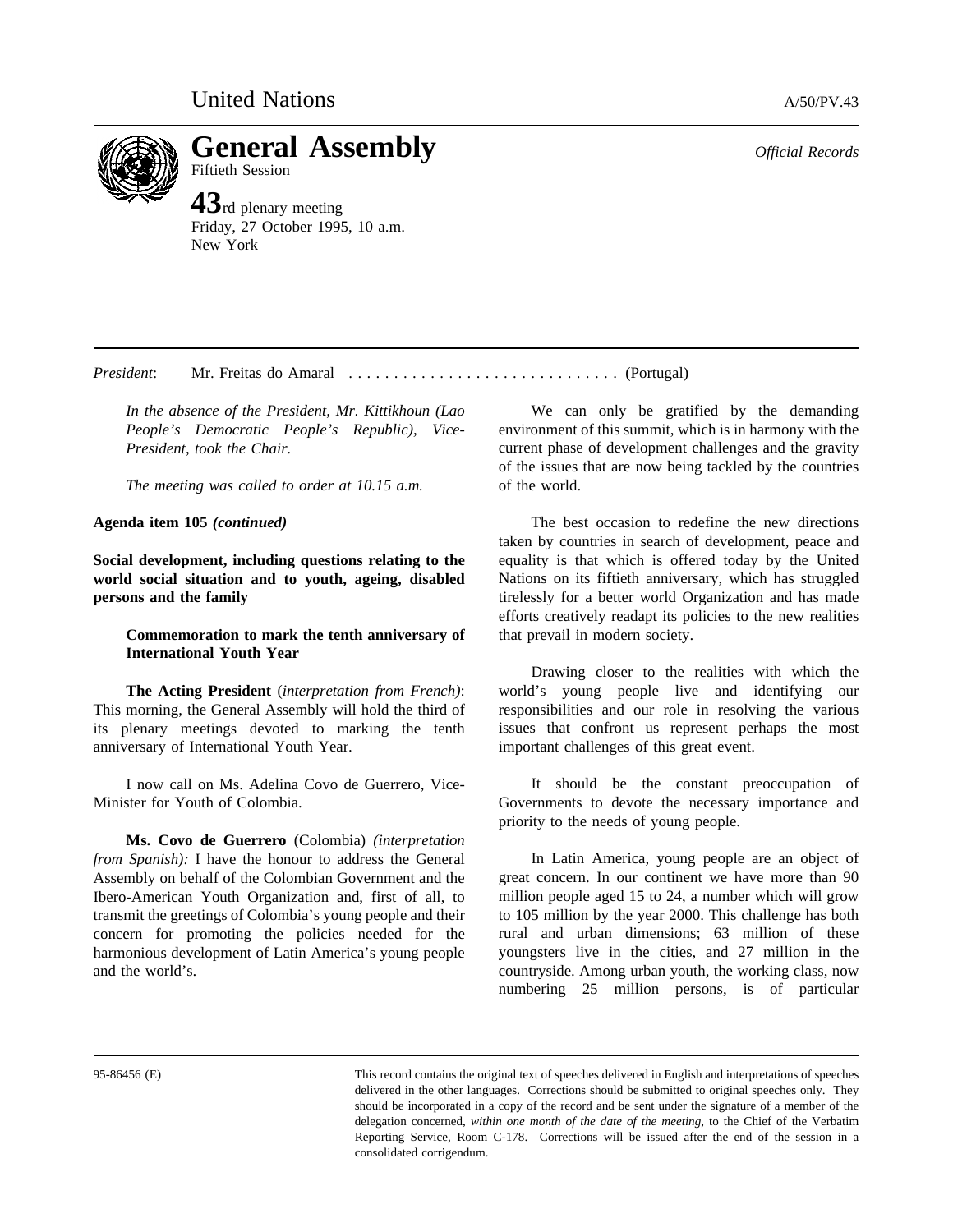**General Assembly** *Official Records* Fiftieth Session

**43**rd plenary meeting Friday, 27 October 1995, 10 a.m. New York

*President*: Mr. Freitas do Amaral .............................. (Portugal)

*In the absence of the President, Mr. Kittikhoun (Lao People's Democratic People's Republic), Vice-President, took the Chair.*

*The meeting was called to order at 10.15 a.m.*

**Agenda item 105** *(continued)*

**Social development, including questions relating to the world social situation and to youth, ageing, disabled persons and the family**

**Commemoration to mark the tenth anniversary of International Youth Year**

**The Acting President** (*interpretation from French)*: This morning, the General Assembly will hold the third of its plenary meetings devoted to marking the tenth anniversary of International Youth Year.

I now call on Ms. Adelina Covo de Guerrero, Vice-Minister for Youth of Colombia.

**Ms. Covo de Guerrero** (Colombia) *(interpretation from Spanish):* I have the honour to address the General Assembly on behalf of the Colombian Government and the Ibero-American Youth Organization and, first of all, to transmit the greetings of Colombia's young people and their concern for promoting the policies needed for the harmonious development of Latin America's young people and the world's.

We can only be gratified by the demanding environment of this summit, which is in harmony with the current phase of development challenges and the gravity of the issues that are now being tackled by the countries of the world.

The best occasion to redefine the new directions taken by countries in search of development, peace and equality is that which is offered today by the United Nations on its fiftieth anniversary, which has struggled tirelessly for a better world Organization and has made efforts creatively readapt its policies to the new realities that prevail in modern society.

Drawing closer to the realities with which the world's young people live and identifying our responsibilities and our role in resolving the various issues that confront us represent perhaps the most important challenges of this great event.

It should be the constant preoccupation of Governments to devote the necessary importance and priority to the needs of young people.

In Latin America, young people are an object of great concern. In our continent we have more than 90 million people aged 15 to 24, a number which will grow to 105 million by the year 2000. This challenge has both rural and urban dimensions; 63 million of these youngsters live in the cities, and 27 million in the countryside. Among urban youth, the working class, now numbering 25 million persons, is of particular

95-86456 (E) This record contains the original text of speeches delivered in English and interpretations of speeches delivered in the other languages. Corrections should be submitted to original speeches only. They should be incorporated in a copy of the record and be sent under the signature of a member of the delegation concerned, *within one month of the date of the meeting*, to the Chief of the Verbatim Reporting Service, Room C-178. Corrections will be issued after the end of the session in a consolidated corrigendum.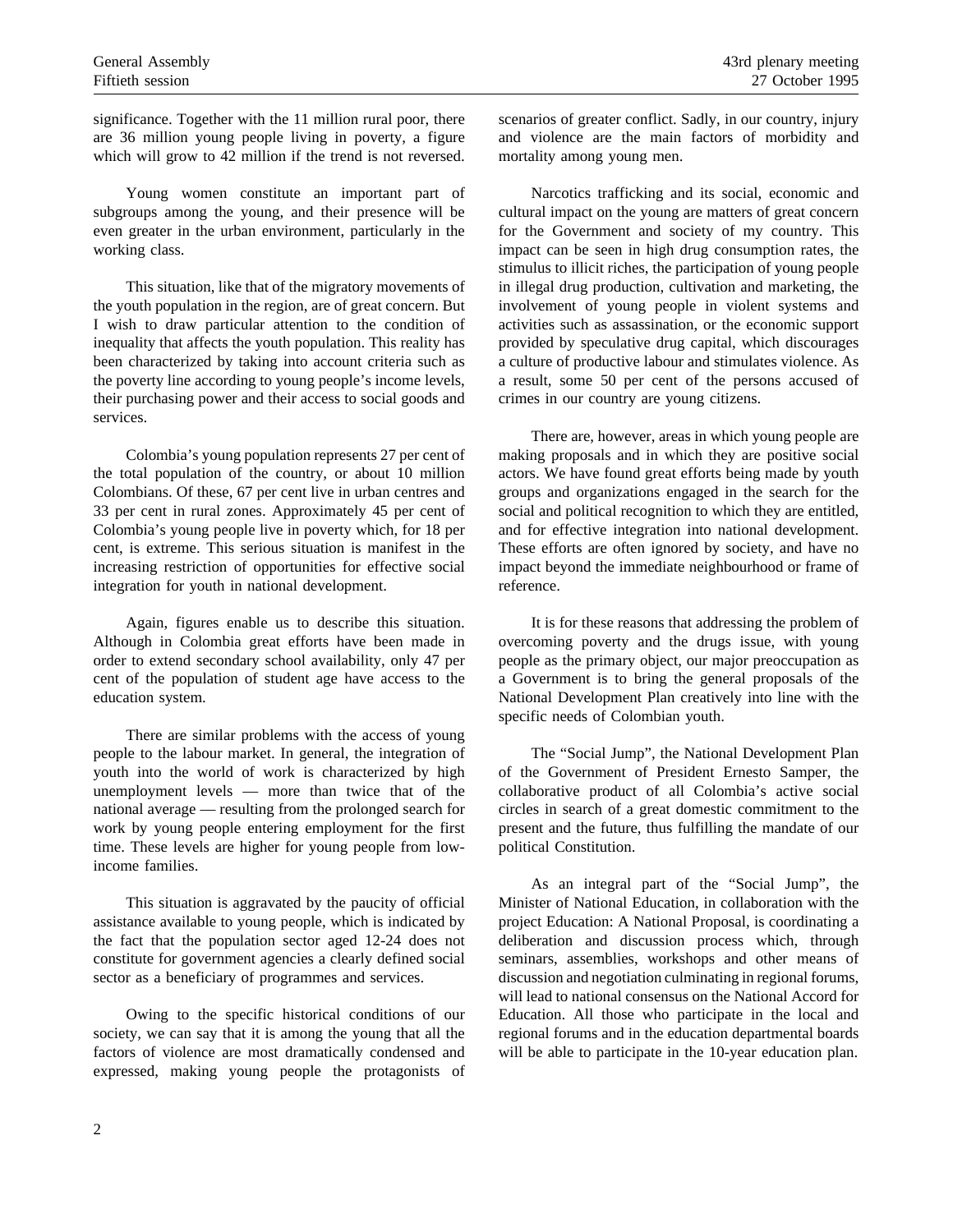significance. Together with the 11 million rural poor, there are 36 million young people living in poverty, a figure which will grow to 42 million if the trend is not reversed.

Young women constitute an important part of subgroups among the young, and their presence will be even greater in the urban environment, particularly in the working class.

This situation, like that of the migratory movements of the youth population in the region, are of great concern. But I wish to draw particular attention to the condition of inequality that affects the youth population. This reality has been characterized by taking into account criteria such as the poverty line according to young people's income levels, their purchasing power and their access to social goods and services.

Colombia's young population represents 27 per cent of the total population of the country, or about 10 million Colombians. Of these, 67 per cent live in urban centres and 33 per cent in rural zones. Approximately 45 per cent of Colombia's young people live in poverty which, for 18 per cent, is extreme. This serious situation is manifest in the increasing restriction of opportunities for effective social integration for youth in national development.

Again, figures enable us to describe this situation. Although in Colombia great efforts have been made in order to extend secondary school availability, only 47 per cent of the population of student age have access to the education system.

There are similar problems with the access of young people to the labour market. In general, the integration of youth into the world of work is characterized by high unemployment levels — more than twice that of the national average — resulting from the prolonged search for work by young people entering employment for the first time. These levels are higher for young people from lowincome families.

This situation is aggravated by the paucity of official assistance available to young people, which is indicated by the fact that the population sector aged 12-24 does not constitute for government agencies a clearly defined social sector as a beneficiary of programmes and services.

Owing to the specific historical conditions of our society, we can say that it is among the young that all the factors of violence are most dramatically condensed and expressed, making young people the protagonists of scenarios of greater conflict. Sadly, in our country, injury and violence are the main factors of morbidity and mortality among young men.

Narcotics trafficking and its social, economic and cultural impact on the young are matters of great concern for the Government and society of my country. This impact can be seen in high drug consumption rates, the stimulus to illicit riches, the participation of young people in illegal drug production, cultivation and marketing, the involvement of young people in violent systems and activities such as assassination, or the economic support provided by speculative drug capital, which discourages a culture of productive labour and stimulates violence. As a result, some 50 per cent of the persons accused of crimes in our country are young citizens.

There are, however, areas in which young people are making proposals and in which they are positive social actors. We have found great efforts being made by youth groups and organizations engaged in the search for the social and political recognition to which they are entitled, and for effective integration into national development. These efforts are often ignored by society, and have no impact beyond the immediate neighbourhood or frame of reference.

It is for these reasons that addressing the problem of overcoming poverty and the drugs issue, with young people as the primary object, our major preoccupation as a Government is to bring the general proposals of the National Development Plan creatively into line with the specific needs of Colombian youth.

The "Social Jump", the National Development Plan of the Government of President Ernesto Samper, the collaborative product of all Colombia's active social circles in search of a great domestic commitment to the present and the future, thus fulfilling the mandate of our political Constitution.

As an integral part of the "Social Jump", the Minister of National Education, in collaboration with the project Education: A National Proposal, is coordinating a deliberation and discussion process which, through seminars, assemblies, workshops and other means of discussion and negotiation culminating in regional forums, will lead to national consensus on the National Accord for Education. All those who participate in the local and regional forums and in the education departmental boards will be able to participate in the 10-year education plan.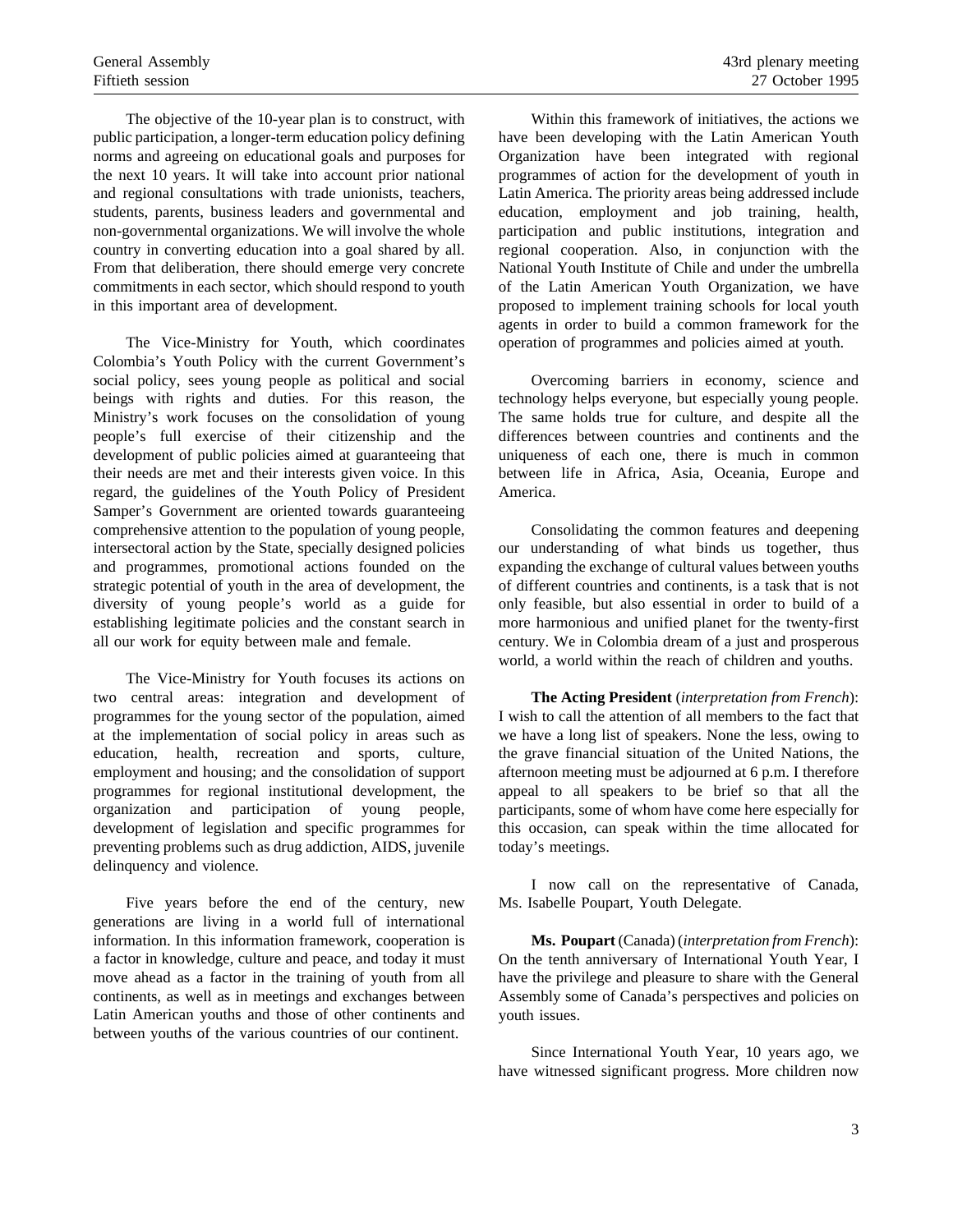The objective of the 10-year plan is to construct, with public participation, a longer-term education policy defining norms and agreeing on educational goals and purposes for the next 10 years. It will take into account prior national and regional consultations with trade unionists, teachers, students, parents, business leaders and governmental and non-governmental organizations. We will involve the whole country in converting education into a goal shared by all. From that deliberation, there should emerge very concrete commitments in each sector, which should respond to youth in this important area of development.

The Vice-Ministry for Youth, which coordinates Colombia's Youth Policy with the current Government's social policy, sees young people as political and social beings with rights and duties. For this reason, the Ministry's work focuses on the consolidation of young people's full exercise of their citizenship and the development of public policies aimed at guaranteeing that their needs are met and their interests given voice. In this regard, the guidelines of the Youth Policy of President Samper's Government are oriented towards guaranteeing comprehensive attention to the population of young people, intersectoral action by the State, specially designed policies and programmes, promotional actions founded on the strategic potential of youth in the area of development, the diversity of young people's world as a guide for establishing legitimate policies and the constant search in all our work for equity between male and female.

The Vice-Ministry for Youth focuses its actions on two central areas: integration and development of programmes for the young sector of the population, aimed at the implementation of social policy in areas such as education, health, recreation and sports, culture, employment and housing; and the consolidation of support programmes for regional institutional development, the organization and participation of young people, development of legislation and specific programmes for preventing problems such as drug addiction, AIDS, juvenile delinquency and violence.

Five years before the end of the century, new generations are living in a world full of international information. In this information framework, cooperation is a factor in knowledge, culture and peace, and today it must move ahead as a factor in the training of youth from all continents, as well as in meetings and exchanges between Latin American youths and those of other continents and between youths of the various countries of our continent.

Within this framework of initiatives, the actions we have been developing with the Latin American Youth Organization have been integrated with regional programmes of action for the development of youth in Latin America. The priority areas being addressed include education, employment and job training, health, participation and public institutions, integration and regional cooperation. Also, in conjunction with the National Youth Institute of Chile and under the umbrella of the Latin American Youth Organization, we have proposed to implement training schools for local youth agents in order to build a common framework for the operation of programmes and policies aimed at youth.

Overcoming barriers in economy, science and technology helps everyone, but especially young people. The same holds true for culture, and despite all the differences between countries and continents and the uniqueness of each one, there is much in common between life in Africa, Asia, Oceania, Europe and America.

Consolidating the common features and deepening our understanding of what binds us together, thus expanding the exchange of cultural values between youths of different countries and continents, is a task that is not only feasible, but also essential in order to build of a more harmonious and unified planet for the twenty-first century. We in Colombia dream of a just and prosperous world, a world within the reach of children and youths.

**The Acting President** (*interpretation from French*): I wish to call the attention of all members to the fact that we have a long list of speakers. None the less, owing to the grave financial situation of the United Nations, the afternoon meeting must be adjourned at 6 p.m. I therefore appeal to all speakers to be brief so that all the participants, some of whom have come here especially for this occasion, can speak within the time allocated for today's meetings.

I now call on the representative of Canada, Ms. Isabelle Poupart, Youth Delegate.

**Ms. Poupart** (Canada) (*interpretation from French*): On the tenth anniversary of International Youth Year, I have the privilege and pleasure to share with the General Assembly some of Canada's perspectives and policies on youth issues.

Since International Youth Year, 10 years ago, we have witnessed significant progress. More children now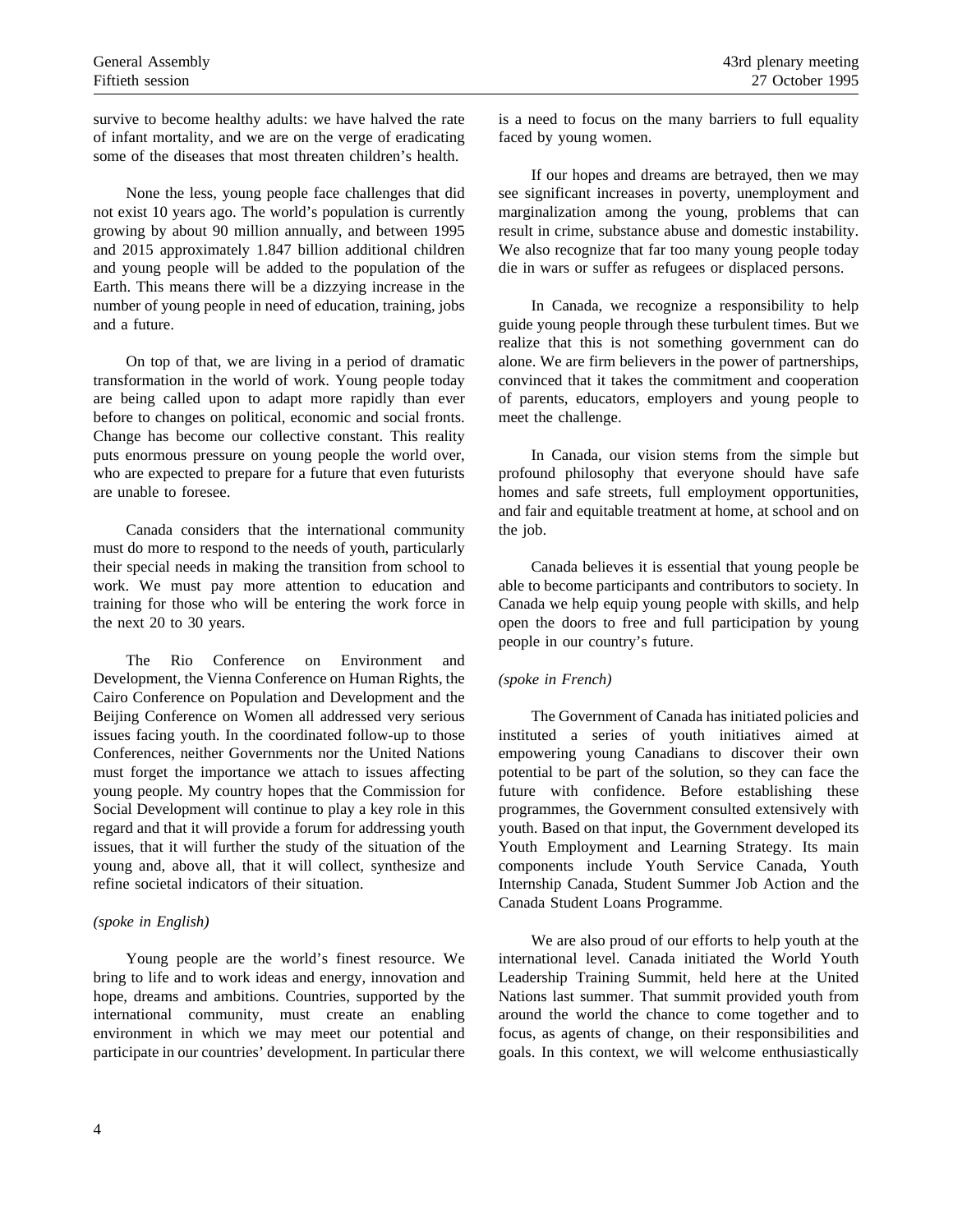survive to become healthy adults: we have halved the rate of infant mortality, and we are on the verge of eradicating some of the diseases that most threaten children's health.

None the less, young people face challenges that did not exist 10 years ago. The world's population is currently growing by about 90 million annually, and between 1995 and 2015 approximately 1.847 billion additional children and young people will be added to the population of the Earth. This means there will be a dizzying increase in the number of young people in need of education, training, jobs and a future.

On top of that, we are living in a period of dramatic transformation in the world of work. Young people today are being called upon to adapt more rapidly than ever before to changes on political, economic and social fronts. Change has become our collective constant. This reality puts enormous pressure on young people the world over, who are expected to prepare for a future that even futurists are unable to foresee.

Canada considers that the international community must do more to respond to the needs of youth, particularly their special needs in making the transition from school to work. We must pay more attention to education and training for those who will be entering the work force in the next 20 to 30 years.

The Rio Conference on Environment and Development, the Vienna Conference on Human Rights, the Cairo Conference on Population and Development and the Beijing Conference on Women all addressed very serious issues facing youth. In the coordinated follow-up to those Conferences, neither Governments nor the United Nations must forget the importance we attach to issues affecting young people. My country hopes that the Commission for Social Development will continue to play a key role in this regard and that it will provide a forum for addressing youth issues, that it will further the study of the situation of the young and, above all, that it will collect, synthesize and refine societal indicators of their situation.

## *(spoke in English)*

Young people are the world's finest resource. We bring to life and to work ideas and energy, innovation and hope, dreams and ambitions. Countries, supported by the international community, must create an enabling environment in which we may meet our potential and participate in our countries' development. In particular there is a need to focus on the many barriers to full equality faced by young women.

If our hopes and dreams are betrayed, then we may see significant increases in poverty, unemployment and marginalization among the young, problems that can result in crime, substance abuse and domestic instability. We also recognize that far too many young people today die in wars or suffer as refugees or displaced persons.

In Canada, we recognize a responsibility to help guide young people through these turbulent times. But we realize that this is not something government can do alone. We are firm believers in the power of partnerships, convinced that it takes the commitment and cooperation of parents, educators, employers and young people to meet the challenge.

In Canada, our vision stems from the simple but profound philosophy that everyone should have safe homes and safe streets, full employment opportunities, and fair and equitable treatment at home, at school and on the job.

Canada believes it is essential that young people be able to become participants and contributors to society. In Canada we help equip young people with skills, and help open the doors to free and full participation by young people in our country's future.

## *(spoke in French)*

The Government of Canada has initiated policies and instituted a series of youth initiatives aimed at empowering young Canadians to discover their own potential to be part of the solution, so they can face the future with confidence. Before establishing these programmes, the Government consulted extensively with youth. Based on that input, the Government developed its Youth Employment and Learning Strategy. Its main components include Youth Service Canada, Youth Internship Canada, Student Summer Job Action and the Canada Student Loans Programme.

We are also proud of our efforts to help youth at the international level. Canada initiated the World Youth Leadership Training Summit, held here at the United Nations last summer. That summit provided youth from around the world the chance to come together and to focus, as agents of change, on their responsibilities and goals. In this context, we will welcome enthusiastically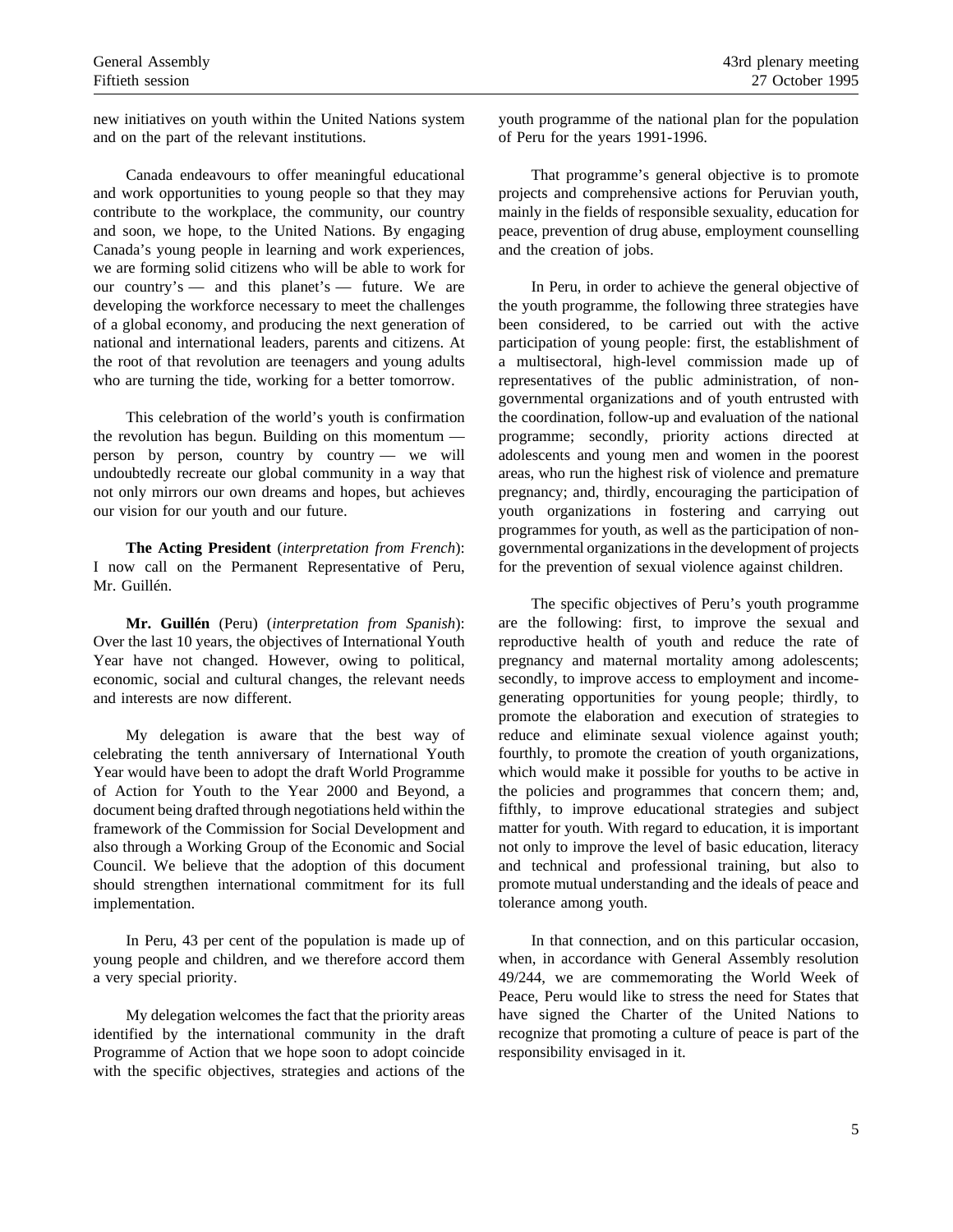new initiatives on youth within the United Nations system and on the part of the relevant institutions.

Canada endeavours to offer meaningful educational and work opportunities to young people so that they may contribute to the workplace, the community, our country and soon, we hope, to the United Nations. By engaging Canada's young people in learning and work experiences, we are forming solid citizens who will be able to work for our country's — and this planet's — future. We are developing the workforce necessary to meet the challenges of a global economy, and producing the next generation of national and international leaders, parents and citizens. At the root of that revolution are teenagers and young adults who are turning the tide, working for a better tomorrow.

This celebration of the world's youth is confirmation the revolution has begun. Building on this momentum person by person, country by country — we will undoubtedly recreate our global community in a way that not only mirrors our own dreams and hopes, but achieves our vision for our youth and our future.

**The Acting President** (*interpretation from French*): I now call on the Permanent Representative of Peru, Mr. Guillén.

**Mr. Guillén** (Peru) (*interpretation from Spanish*): Over the last 10 years, the objectives of International Youth Year have not changed. However, owing to political, economic, social and cultural changes, the relevant needs and interests are now different.

My delegation is aware that the best way of celebrating the tenth anniversary of International Youth Year would have been to adopt the draft World Programme of Action for Youth to the Year 2000 and Beyond, a document being drafted through negotiations held within the framework of the Commission for Social Development and also through a Working Group of the Economic and Social Council. We believe that the adoption of this document should strengthen international commitment for its full implementation.

In Peru, 43 per cent of the population is made up of young people and children, and we therefore accord them a very special priority.

My delegation welcomes the fact that the priority areas identified by the international community in the draft Programme of Action that we hope soon to adopt coincide with the specific objectives, strategies and actions of the

youth programme of the national plan for the population of Peru for the years 1991-1996.

That programme's general objective is to promote projects and comprehensive actions for Peruvian youth, mainly in the fields of responsible sexuality, education for peace, prevention of drug abuse, employment counselling and the creation of jobs.

In Peru, in order to achieve the general objective of the youth programme, the following three strategies have been considered, to be carried out with the active participation of young people: first, the establishment of a multisectoral, high-level commission made up of representatives of the public administration, of nongovernmental organizations and of youth entrusted with the coordination, follow-up and evaluation of the national programme; secondly, priority actions directed at adolescents and young men and women in the poorest areas, who run the highest risk of violence and premature pregnancy; and, thirdly, encouraging the participation of youth organizations in fostering and carrying out programmes for youth, as well as the participation of nongovernmental organizations in the development of projects for the prevention of sexual violence against children.

The specific objectives of Peru's youth programme are the following: first, to improve the sexual and reproductive health of youth and reduce the rate of pregnancy and maternal mortality among adolescents; secondly, to improve access to employment and incomegenerating opportunities for young people; thirdly, to promote the elaboration and execution of strategies to reduce and eliminate sexual violence against youth; fourthly, to promote the creation of youth organizations, which would make it possible for youths to be active in the policies and programmes that concern them; and, fifthly, to improve educational strategies and subject matter for youth. With regard to education, it is important not only to improve the level of basic education, literacy and technical and professional training, but also to promote mutual understanding and the ideals of peace and tolerance among youth.

In that connection, and on this particular occasion, when, in accordance with General Assembly resolution 49/244, we are commemorating the World Week of Peace, Peru would like to stress the need for States that have signed the Charter of the United Nations to recognize that promoting a culture of peace is part of the responsibility envisaged in it.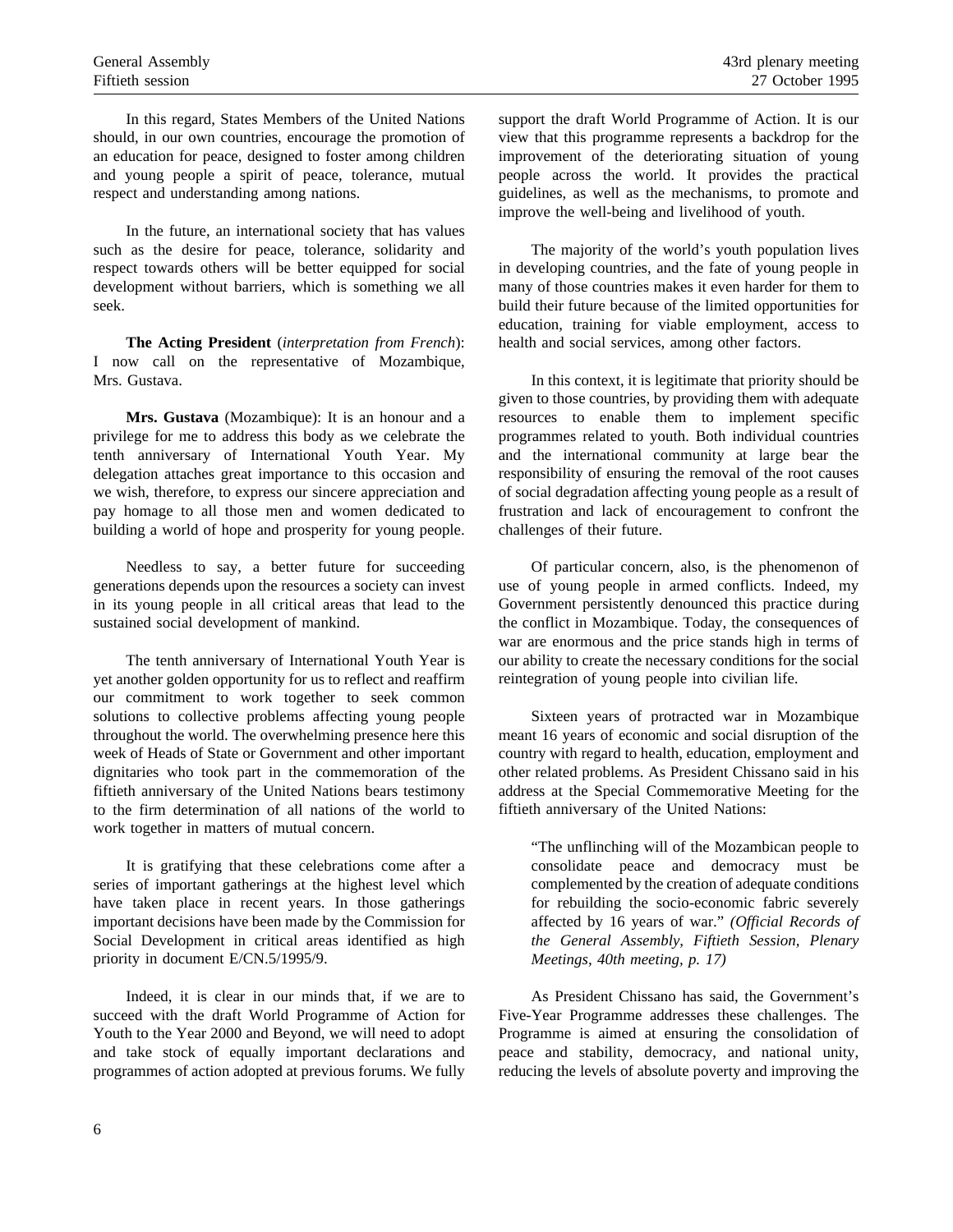In this regard, States Members of the United Nations should, in our own countries, encourage the promotion of an education for peace, designed to foster among children and young people a spirit of peace, tolerance, mutual respect and understanding among nations.

In the future, an international society that has values such as the desire for peace, tolerance, solidarity and respect towards others will be better equipped for social development without barriers, which is something we all seek.

**The Acting President** (*interpretation from French*): I now call on the representative of Mozambique, Mrs. Gustava.

**Mrs. Gustava** (Mozambique): It is an honour and a privilege for me to address this body as we celebrate the tenth anniversary of International Youth Year. My delegation attaches great importance to this occasion and we wish, therefore, to express our sincere appreciation and pay homage to all those men and women dedicated to building a world of hope and prosperity for young people.

Needless to say, a better future for succeeding generations depends upon the resources a society can invest in its young people in all critical areas that lead to the sustained social development of mankind.

The tenth anniversary of International Youth Year is yet another golden opportunity for us to reflect and reaffirm our commitment to work together to seek common solutions to collective problems affecting young people throughout the world. The overwhelming presence here this week of Heads of State or Government and other important dignitaries who took part in the commemoration of the fiftieth anniversary of the United Nations bears testimony to the firm determination of all nations of the world to work together in matters of mutual concern.

It is gratifying that these celebrations come after a series of important gatherings at the highest level which have taken place in recent years. In those gatherings important decisions have been made by the Commission for Social Development in critical areas identified as high priority in document E/CN.5/1995/9.

Indeed, it is clear in our minds that, if we are to succeed with the draft World Programme of Action for Youth to the Year 2000 and Beyond, we will need to adopt and take stock of equally important declarations and programmes of action adopted at previous forums. We fully support the draft World Programme of Action. It is our view that this programme represents a backdrop for the improvement of the deteriorating situation of young people across the world. It provides the practical guidelines, as well as the mechanisms, to promote and improve the well-being and livelihood of youth.

The majority of the world's youth population lives in developing countries, and the fate of young people in many of those countries makes it even harder for them to build their future because of the limited opportunities for education, training for viable employment, access to health and social services, among other factors.

In this context, it is legitimate that priority should be given to those countries, by providing them with adequate resources to enable them to implement specific programmes related to youth. Both individual countries and the international community at large bear the responsibility of ensuring the removal of the root causes of social degradation affecting young people as a result of frustration and lack of encouragement to confront the challenges of their future.

Of particular concern, also, is the phenomenon of use of young people in armed conflicts. Indeed, my Government persistently denounced this practice during the conflict in Mozambique. Today, the consequences of war are enormous and the price stands high in terms of our ability to create the necessary conditions for the social reintegration of young people into civilian life.

Sixteen years of protracted war in Mozambique meant 16 years of economic and social disruption of the country with regard to health, education, employment and other related problems. As President Chissano said in his address at the Special Commemorative Meeting for the fiftieth anniversary of the United Nations:

"The unflinching will of the Mozambican people to consolidate peace and democracy must be complemented by the creation of adequate conditions for rebuilding the socio-economic fabric severely affected by 16 years of war." *(Official Records of the General Assembly, Fiftieth Session, Plenary Meetings, 40th meeting, p. 17)*

As President Chissano has said, the Government's Five-Year Programme addresses these challenges. The Programme is aimed at ensuring the consolidation of peace and stability, democracy, and national unity, reducing the levels of absolute poverty and improving the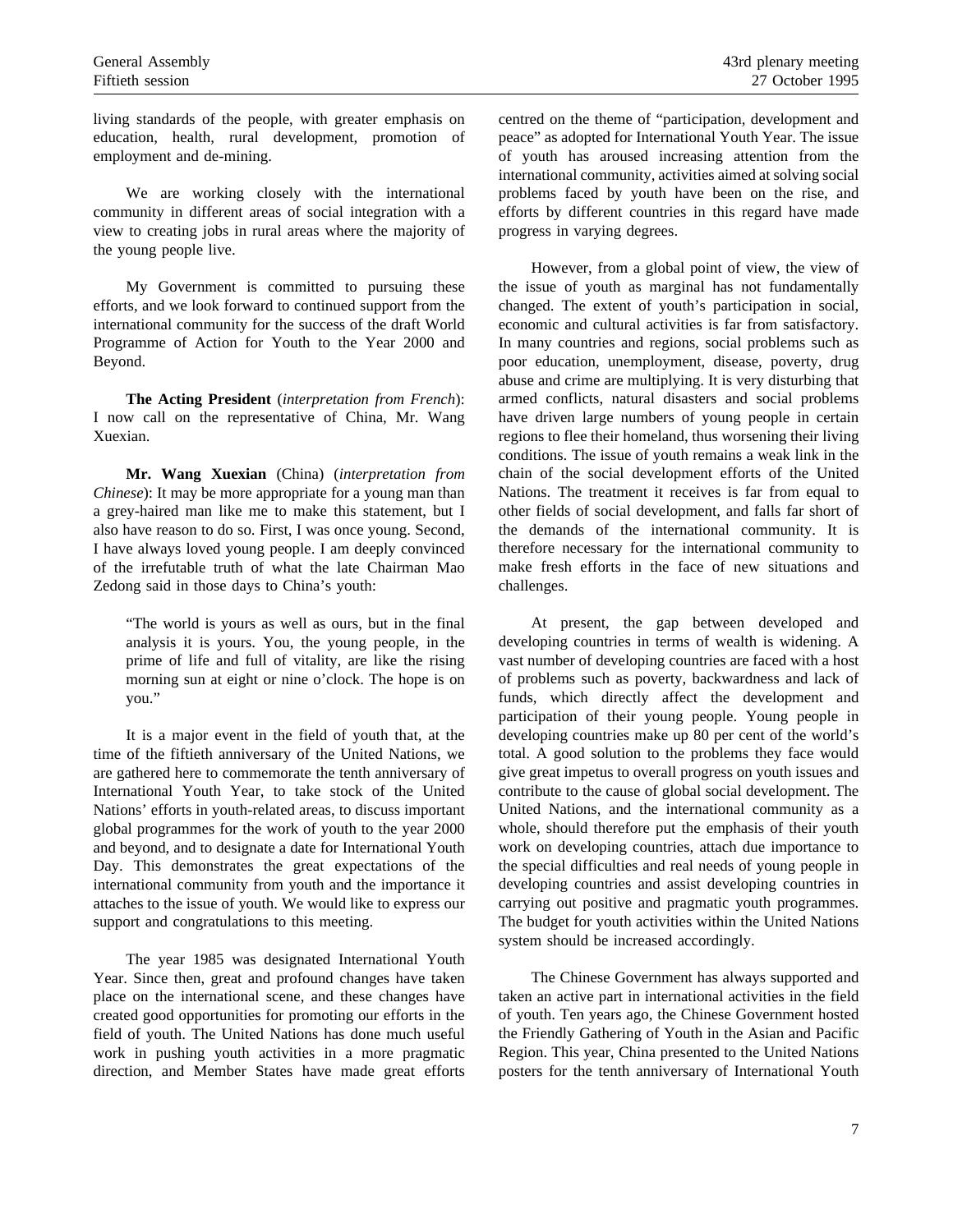living standards of the people, with greater emphasis on education, health, rural development, promotion of employment and de-mining.

We are working closely with the international community in different areas of social integration with a view to creating jobs in rural areas where the majority of the young people live.

My Government is committed to pursuing these efforts, and we look forward to continued support from the international community for the success of the draft World Programme of Action for Youth to the Year 2000 and Beyond.

**The Acting President** (*interpretation from French*): I now call on the representative of China, Mr. Wang Xuexian.

**Mr. Wang Xuexian** (China) (*interpretation from Chinese*): It may be more appropriate for a young man than a grey-haired man like me to make this statement, but I also have reason to do so. First, I was once young. Second, I have always loved young people. I am deeply convinced of the irrefutable truth of what the late Chairman Mao Zedong said in those days to China's youth:

"The world is yours as well as ours, but in the final analysis it is yours. You, the young people, in the prime of life and full of vitality, are like the rising morning sun at eight or nine o'clock. The hope is on you."

It is a major event in the field of youth that, at the time of the fiftieth anniversary of the United Nations, we are gathered here to commemorate the tenth anniversary of International Youth Year, to take stock of the United Nations' efforts in youth-related areas, to discuss important global programmes for the work of youth to the year 2000 and beyond, and to designate a date for International Youth Day. This demonstrates the great expectations of the international community from youth and the importance it attaches to the issue of youth. We would like to express our support and congratulations to this meeting.

The year 1985 was designated International Youth Year. Since then, great and profound changes have taken place on the international scene, and these changes have created good opportunities for promoting our efforts in the field of youth. The United Nations has done much useful work in pushing youth activities in a more pragmatic direction, and Member States have made great efforts

centred on the theme of "participation, development and peace" as adopted for International Youth Year. The issue of youth has aroused increasing attention from the international community, activities aimed at solving social problems faced by youth have been on the rise, and efforts by different countries in this regard have made progress in varying degrees.

However, from a global point of view, the view of the issue of youth as marginal has not fundamentally changed. The extent of youth's participation in social, economic and cultural activities is far from satisfactory. In many countries and regions, social problems such as poor education, unemployment, disease, poverty, drug abuse and crime are multiplying. It is very disturbing that armed conflicts, natural disasters and social problems have driven large numbers of young people in certain regions to flee their homeland, thus worsening their living conditions. The issue of youth remains a weak link in the chain of the social development efforts of the United Nations. The treatment it receives is far from equal to other fields of social development, and falls far short of the demands of the international community. It is therefore necessary for the international community to make fresh efforts in the face of new situations and challenges.

At present, the gap between developed and developing countries in terms of wealth is widening. A vast number of developing countries are faced with a host of problems such as poverty, backwardness and lack of funds, which directly affect the development and participation of their young people. Young people in developing countries make up 80 per cent of the world's total. A good solution to the problems they face would give great impetus to overall progress on youth issues and contribute to the cause of global social development. The United Nations, and the international community as a whole, should therefore put the emphasis of their youth work on developing countries, attach due importance to the special difficulties and real needs of young people in developing countries and assist developing countries in carrying out positive and pragmatic youth programmes. The budget for youth activities within the United Nations system should be increased accordingly.

The Chinese Government has always supported and taken an active part in international activities in the field of youth. Ten years ago, the Chinese Government hosted the Friendly Gathering of Youth in the Asian and Pacific Region. This year, China presented to the United Nations posters for the tenth anniversary of International Youth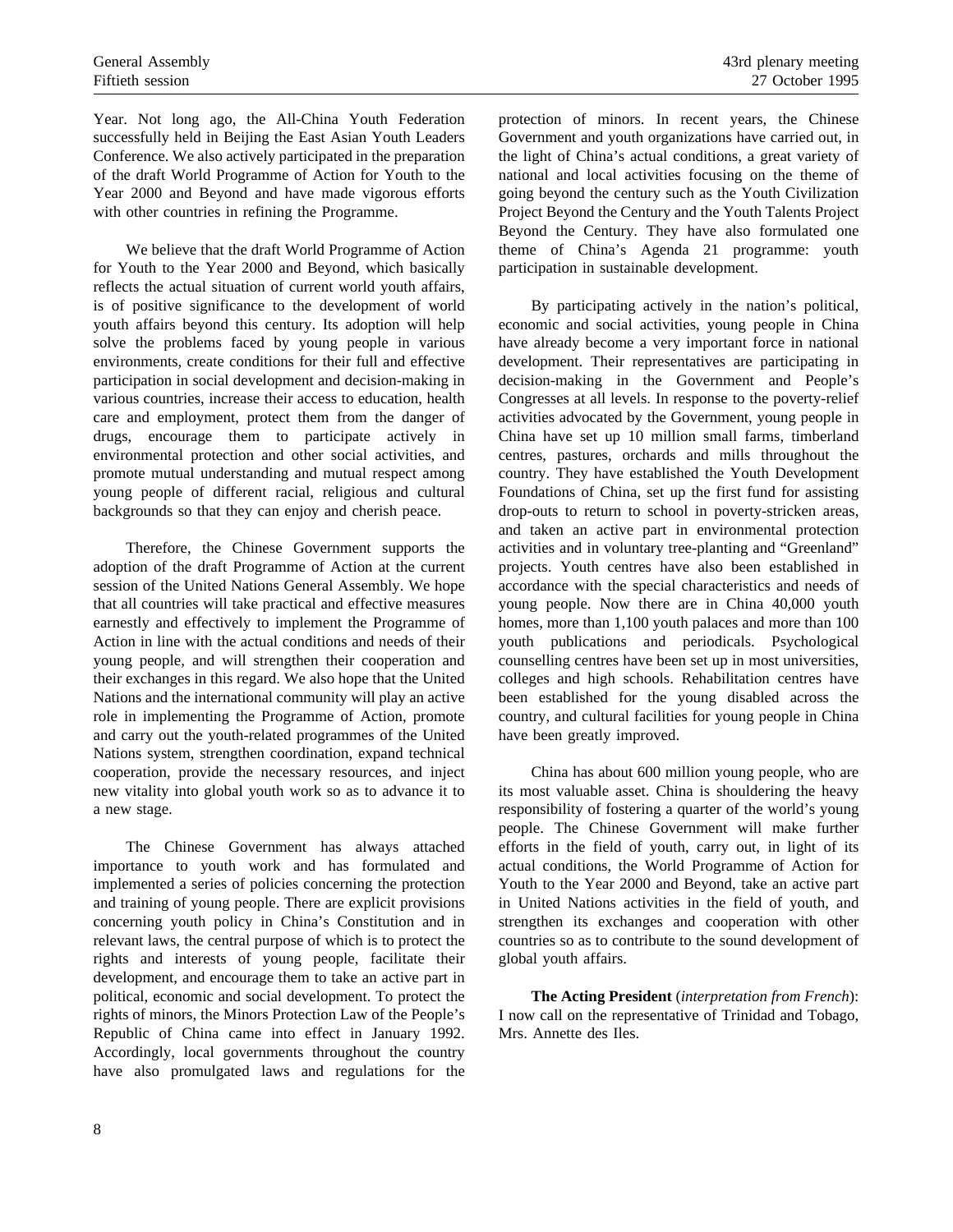Year. Not long ago, the All-China Youth Federation successfully held in Beijing the East Asian Youth Leaders Conference. We also actively participated in the preparation of the draft World Programme of Action for Youth to the Year 2000 and Beyond and have made vigorous efforts with other countries in refining the Programme.

We believe that the draft World Programme of Action for Youth to the Year 2000 and Beyond, which basically reflects the actual situation of current world youth affairs, is of positive significance to the development of world youth affairs beyond this century. Its adoption will help solve the problems faced by young people in various environments, create conditions for their full and effective participation in social development and decision-making in various countries, increase their access to education, health care and employment, protect them from the danger of drugs, encourage them to participate actively in environmental protection and other social activities, and promote mutual understanding and mutual respect among young people of different racial, religious and cultural backgrounds so that they can enjoy and cherish peace.

Therefore, the Chinese Government supports the adoption of the draft Programme of Action at the current session of the United Nations General Assembly. We hope that all countries will take practical and effective measures earnestly and effectively to implement the Programme of Action in line with the actual conditions and needs of their young people, and will strengthen their cooperation and their exchanges in this regard. We also hope that the United Nations and the international community will play an active role in implementing the Programme of Action, promote and carry out the youth-related programmes of the United Nations system, strengthen coordination, expand technical cooperation, provide the necessary resources, and inject new vitality into global youth work so as to advance it to a new stage.

The Chinese Government has always attached importance to youth work and has formulated and implemented a series of policies concerning the protection and training of young people. There are explicit provisions concerning youth policy in China's Constitution and in relevant laws, the central purpose of which is to protect the rights and interests of young people, facilitate their development, and encourage them to take an active part in political, economic and social development. To protect the rights of minors, the Minors Protection Law of the People's Republic of China came into effect in January 1992. Accordingly, local governments throughout the country have also promulgated laws and regulations for the

protection of minors. In recent years, the Chinese Government and youth organizations have carried out, in the light of China's actual conditions, a great variety of national and local activities focusing on the theme of going beyond the century such as the Youth Civilization Project Beyond the Century and the Youth Talents Project Beyond the Century. They have also formulated one theme of China's Agenda 21 programme: youth participation in sustainable development.

By participating actively in the nation's political, economic and social activities, young people in China have already become a very important force in national development. Their representatives are participating in decision-making in the Government and People's Congresses at all levels. In response to the poverty-relief activities advocated by the Government, young people in China have set up 10 million small farms, timberland centres, pastures, orchards and mills throughout the country. They have established the Youth Development Foundations of China, set up the first fund for assisting drop-outs to return to school in poverty-stricken areas, and taken an active part in environmental protection activities and in voluntary tree-planting and "Greenland" projects. Youth centres have also been established in accordance with the special characteristics and needs of young people. Now there are in China 40,000 youth homes, more than 1,100 youth palaces and more than 100 youth publications and periodicals. Psychological counselling centres have been set up in most universities, colleges and high schools. Rehabilitation centres have been established for the young disabled across the country, and cultural facilities for young people in China have been greatly improved.

China has about 600 million young people, who are its most valuable asset. China is shouldering the heavy responsibility of fostering a quarter of the world's young people. The Chinese Government will make further efforts in the field of youth, carry out, in light of its actual conditions, the World Programme of Action for Youth to the Year 2000 and Beyond, take an active part in United Nations activities in the field of youth, and strengthen its exchanges and cooperation with other countries so as to contribute to the sound development of global youth affairs.

**The Acting President** (*interpretation from French*): I now call on the representative of Trinidad and Tobago, Mrs. Annette des Iles.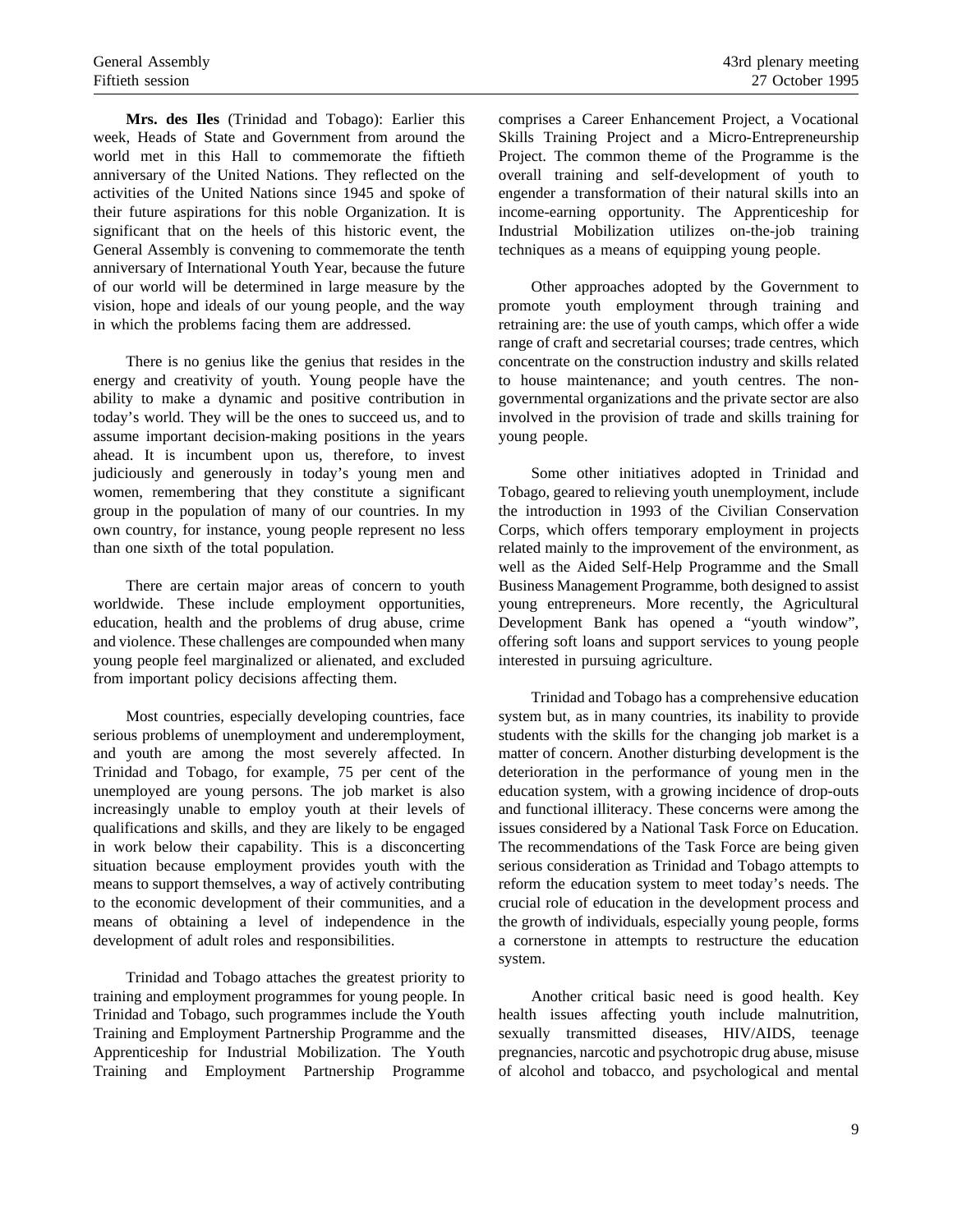**Mrs. des Iles** (Trinidad and Tobago): Earlier this week, Heads of State and Government from around the world met in this Hall to commemorate the fiftieth anniversary of the United Nations. They reflected on the activities of the United Nations since 1945 and spoke of their future aspirations for this noble Organization. It is significant that on the heels of this historic event, the General Assembly is convening to commemorate the tenth anniversary of International Youth Year, because the future of our world will be determined in large measure by the vision, hope and ideals of our young people, and the way in which the problems facing them are addressed.

There is no genius like the genius that resides in the energy and creativity of youth. Young people have the ability to make a dynamic and positive contribution in today's world. They will be the ones to succeed us, and to assume important decision-making positions in the years ahead. It is incumbent upon us, therefore, to invest judiciously and generously in today's young men and women, remembering that they constitute a significant group in the population of many of our countries. In my own country, for instance, young people represent no less than one sixth of the total population.

There are certain major areas of concern to youth worldwide. These include employment opportunities, education, health and the problems of drug abuse, crime and violence. These challenges are compounded when many young people feel marginalized or alienated, and excluded from important policy decisions affecting them.

Most countries, especially developing countries, face serious problems of unemployment and underemployment, and youth are among the most severely affected. In Trinidad and Tobago, for example, 75 per cent of the unemployed are young persons. The job market is also increasingly unable to employ youth at their levels of qualifications and skills, and they are likely to be engaged in work below their capability. This is a disconcerting situation because employment provides youth with the means to support themselves, a way of actively contributing to the economic development of their communities, and a means of obtaining a level of independence in the development of adult roles and responsibilities.

Trinidad and Tobago attaches the greatest priority to training and employment programmes for young people. In Trinidad and Tobago, such programmes include the Youth Training and Employment Partnership Programme and the Apprenticeship for Industrial Mobilization. The Youth Training and Employment Partnership Programme comprises a Career Enhancement Project, a Vocational Skills Training Project and a Micro-Entrepreneurship Project. The common theme of the Programme is the overall training and self-development of youth to engender a transformation of their natural skills into an income-earning opportunity. The Apprenticeship for Industrial Mobilization utilizes on-the-job training techniques as a means of equipping young people.

Other approaches adopted by the Government to promote youth employment through training and retraining are: the use of youth camps, which offer a wide range of craft and secretarial courses; trade centres, which concentrate on the construction industry and skills related to house maintenance; and youth centres. The nongovernmental organizations and the private sector are also involved in the provision of trade and skills training for young people.

Some other initiatives adopted in Trinidad and Tobago, geared to relieving youth unemployment, include the introduction in 1993 of the Civilian Conservation Corps, which offers temporary employment in projects related mainly to the improvement of the environment, as well as the Aided Self-Help Programme and the Small Business Management Programme, both designed to assist young entrepreneurs. More recently, the Agricultural Development Bank has opened a "youth window", offering soft loans and support services to young people interested in pursuing agriculture.

Trinidad and Tobago has a comprehensive education system but, as in many countries, its inability to provide students with the skills for the changing job market is a matter of concern. Another disturbing development is the deterioration in the performance of young men in the education system, with a growing incidence of drop-outs and functional illiteracy. These concerns were among the issues considered by a National Task Force on Education. The recommendations of the Task Force are being given serious consideration as Trinidad and Tobago attempts to reform the education system to meet today's needs. The crucial role of education in the development process and the growth of individuals, especially young people, forms a cornerstone in attempts to restructure the education system.

Another critical basic need is good health. Key health issues affecting youth include malnutrition, sexually transmitted diseases, HIV/AIDS, teenage pregnancies, narcotic and psychotropic drug abuse, misuse of alcohol and tobacco, and psychological and mental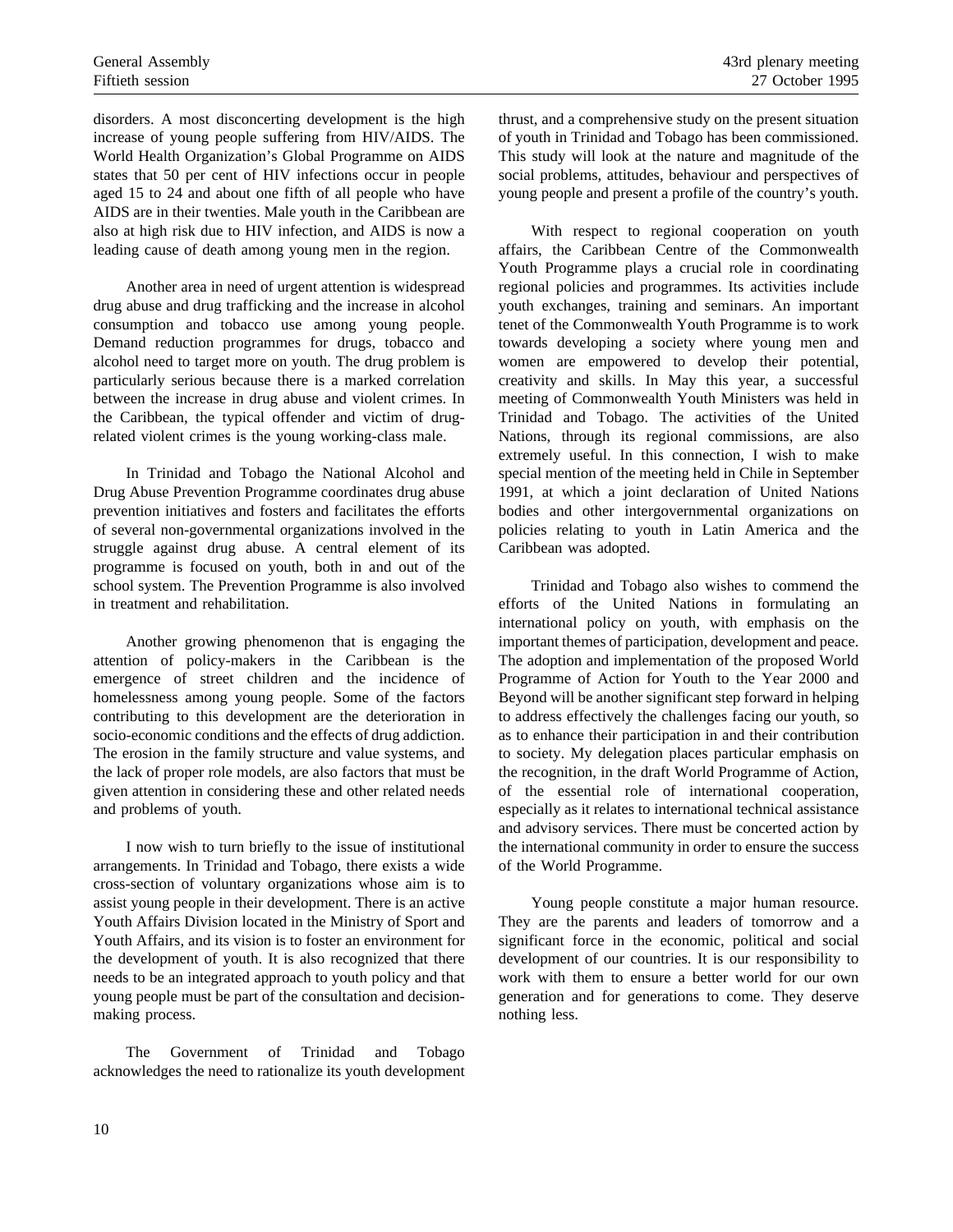disorders. A most disconcerting development is the high increase of young people suffering from HIV/AIDS. The World Health Organization's Global Programme on AIDS states that 50 per cent of HIV infections occur in people aged 15 to 24 and about one fifth of all people who have AIDS are in their twenties. Male youth in the Caribbean are also at high risk due to HIV infection, and AIDS is now a leading cause of death among young men in the region.

Another area in need of urgent attention is widespread drug abuse and drug trafficking and the increase in alcohol consumption and tobacco use among young people. Demand reduction programmes for drugs, tobacco and alcohol need to target more on youth. The drug problem is particularly serious because there is a marked correlation between the increase in drug abuse and violent crimes. In the Caribbean, the typical offender and victim of drugrelated violent crimes is the young working-class male.

In Trinidad and Tobago the National Alcohol and Drug Abuse Prevention Programme coordinates drug abuse prevention initiatives and fosters and facilitates the efforts of several non-governmental organizations involved in the struggle against drug abuse. A central element of its programme is focused on youth, both in and out of the school system. The Prevention Programme is also involved in treatment and rehabilitation.

Another growing phenomenon that is engaging the attention of policy-makers in the Caribbean is the emergence of street children and the incidence of homelessness among young people. Some of the factors contributing to this development are the deterioration in socio-economic conditions and the effects of drug addiction. The erosion in the family structure and value systems, and the lack of proper role models, are also factors that must be given attention in considering these and other related needs and problems of youth.

I now wish to turn briefly to the issue of institutional arrangements. In Trinidad and Tobago, there exists a wide cross-section of voluntary organizations whose aim is to assist young people in their development. There is an active Youth Affairs Division located in the Ministry of Sport and Youth Affairs, and its vision is to foster an environment for the development of youth. It is also recognized that there needs to be an integrated approach to youth policy and that young people must be part of the consultation and decisionmaking process.

The Government of Trinidad and Tobago acknowledges the need to rationalize its youth development thrust, and a comprehensive study on the present situation of youth in Trinidad and Tobago has been commissioned. This study will look at the nature and magnitude of the social problems, attitudes, behaviour and perspectives of young people and present a profile of the country's youth.

With respect to regional cooperation on youth affairs, the Caribbean Centre of the Commonwealth Youth Programme plays a crucial role in coordinating regional policies and programmes. Its activities include youth exchanges, training and seminars. An important tenet of the Commonwealth Youth Programme is to work towards developing a society where young men and women are empowered to develop their potential, creativity and skills. In May this year, a successful meeting of Commonwealth Youth Ministers was held in Trinidad and Tobago. The activities of the United Nations, through its regional commissions, are also extremely useful. In this connection, I wish to make special mention of the meeting held in Chile in September 1991, at which a joint declaration of United Nations bodies and other intergovernmental organizations on policies relating to youth in Latin America and the Caribbean was adopted.

Trinidad and Tobago also wishes to commend the efforts of the United Nations in formulating an international policy on youth, with emphasis on the important themes of participation, development and peace. The adoption and implementation of the proposed World Programme of Action for Youth to the Year 2000 and Beyond will be another significant step forward in helping to address effectively the challenges facing our youth, so as to enhance their participation in and their contribution to society. My delegation places particular emphasis on the recognition, in the draft World Programme of Action, of the essential role of international cooperation, especially as it relates to international technical assistance and advisory services. There must be concerted action by the international community in order to ensure the success of the World Programme.

Young people constitute a major human resource. They are the parents and leaders of tomorrow and a significant force in the economic, political and social development of our countries. It is our responsibility to work with them to ensure a better world for our own generation and for generations to come. They deserve nothing less.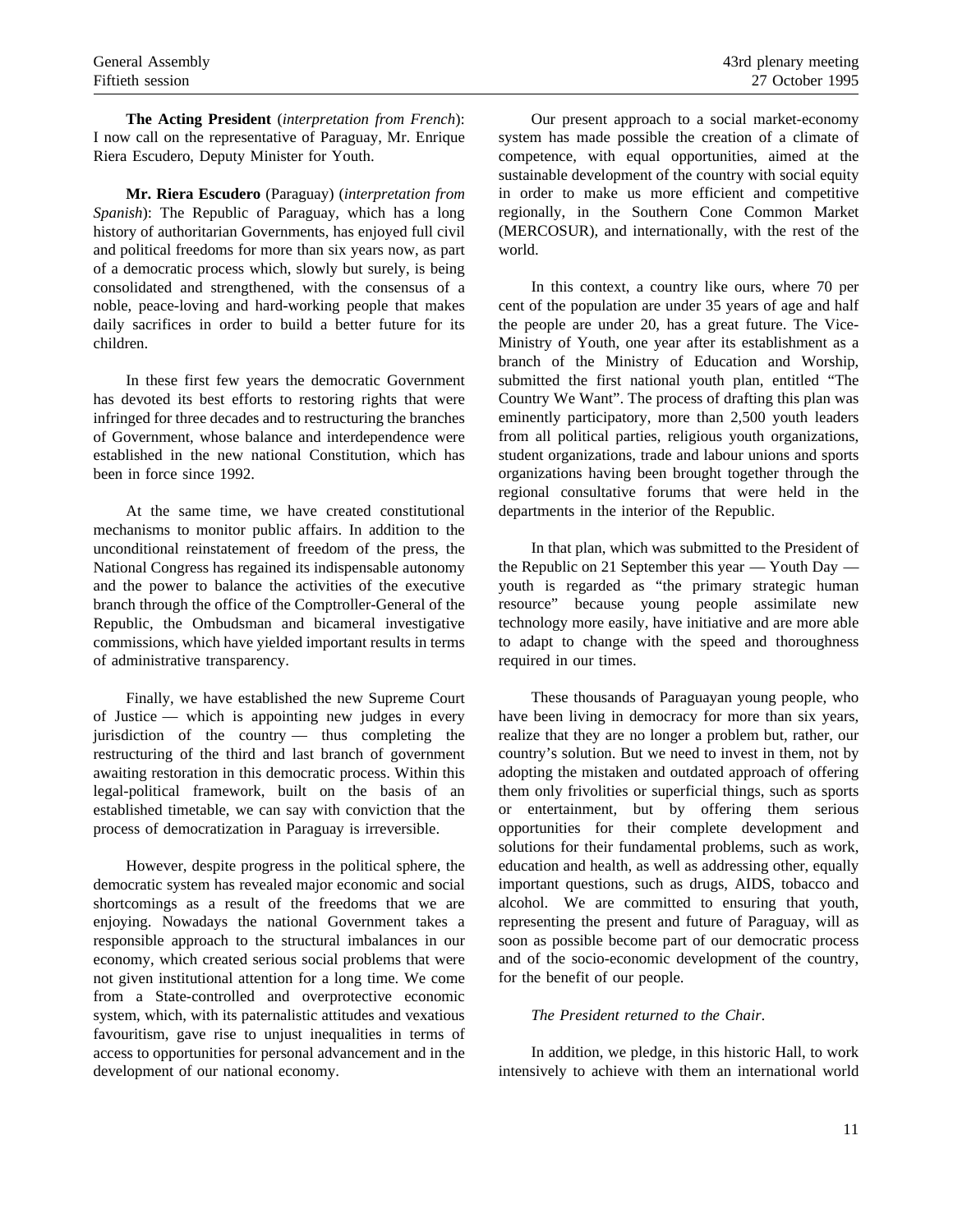**The Acting President** (*interpretation from French*): I now call on the representative of Paraguay, Mr. Enrique Riera Escudero, Deputy Minister for Youth.

**Mr. Riera Escudero** (Paraguay) (*interpretation from Spanish*): The Republic of Paraguay, which has a long history of authoritarian Governments, has enjoyed full civil and political freedoms for more than six years now, as part of a democratic process which, slowly but surely, is being consolidated and strengthened, with the consensus of a noble, peace-loving and hard-working people that makes daily sacrifices in order to build a better future for its children.

In these first few years the democratic Government has devoted its best efforts to restoring rights that were infringed for three decades and to restructuring the branches of Government, whose balance and interdependence were established in the new national Constitution, which has been in force since 1992.

At the same time, we have created constitutional mechanisms to monitor public affairs. In addition to the unconditional reinstatement of freedom of the press, the National Congress has regained its indispensable autonomy and the power to balance the activities of the executive branch through the office of the Comptroller-General of the Republic, the Ombudsman and bicameral investigative commissions, which have yielded important results in terms of administrative transparency.

Finally, we have established the new Supreme Court of Justice — which is appointing new judges in every jurisdiction of the country — thus completing the restructuring of the third and last branch of government awaiting restoration in this democratic process. Within this legal-political framework, built on the basis of an established timetable, we can say with conviction that the process of democratization in Paraguay is irreversible.

However, despite progress in the political sphere, the democratic system has revealed major economic and social shortcomings as a result of the freedoms that we are enjoying. Nowadays the national Government takes a responsible approach to the structural imbalances in our economy, which created serious social problems that were not given institutional attention for a long time. We come from a State-controlled and overprotective economic system, which, with its paternalistic attitudes and vexatious favouritism, gave rise to unjust inequalities in terms of access to opportunities for personal advancement and in the development of our national economy.

Our present approach to a social market-economy system has made possible the creation of a climate of competence, with equal opportunities, aimed at the sustainable development of the country with social equity in order to make us more efficient and competitive regionally, in the Southern Cone Common Market (MERCOSUR), and internationally, with the rest of the world.

In this context, a country like ours, where 70 per cent of the population are under 35 years of age and half the people are under 20, has a great future. The Vice-Ministry of Youth, one year after its establishment as a branch of the Ministry of Education and Worship, submitted the first national youth plan, entitled "The Country We Want". The process of drafting this plan was eminently participatory, more than 2,500 youth leaders from all political parties, religious youth organizations, student organizations, trade and labour unions and sports organizations having been brought together through the regional consultative forums that were held in the departments in the interior of the Republic.

In that plan, which was submitted to the President of the Republic on 21 September this year — Youth Day youth is regarded as "the primary strategic human resource" because young people assimilate new technology more easily, have initiative and are more able to adapt to change with the speed and thoroughness required in our times.

These thousands of Paraguayan young people, who have been living in democracy for more than six years, realize that they are no longer a problem but, rather, our country's solution. But we need to invest in them, not by adopting the mistaken and outdated approach of offering them only frivolities or superficial things, such as sports or entertainment, but by offering them serious opportunities for their complete development and solutions for their fundamental problems, such as work, education and health, as well as addressing other, equally important questions, such as drugs, AIDS, tobacco and alcohol. We are committed to ensuring that youth, representing the present and future of Paraguay, will as soon as possible become part of our democratic process and of the socio-economic development of the country, for the benefit of our people.

## *The President returned to the Chair*.

In addition, we pledge, in this historic Hall, to work intensively to achieve with them an international world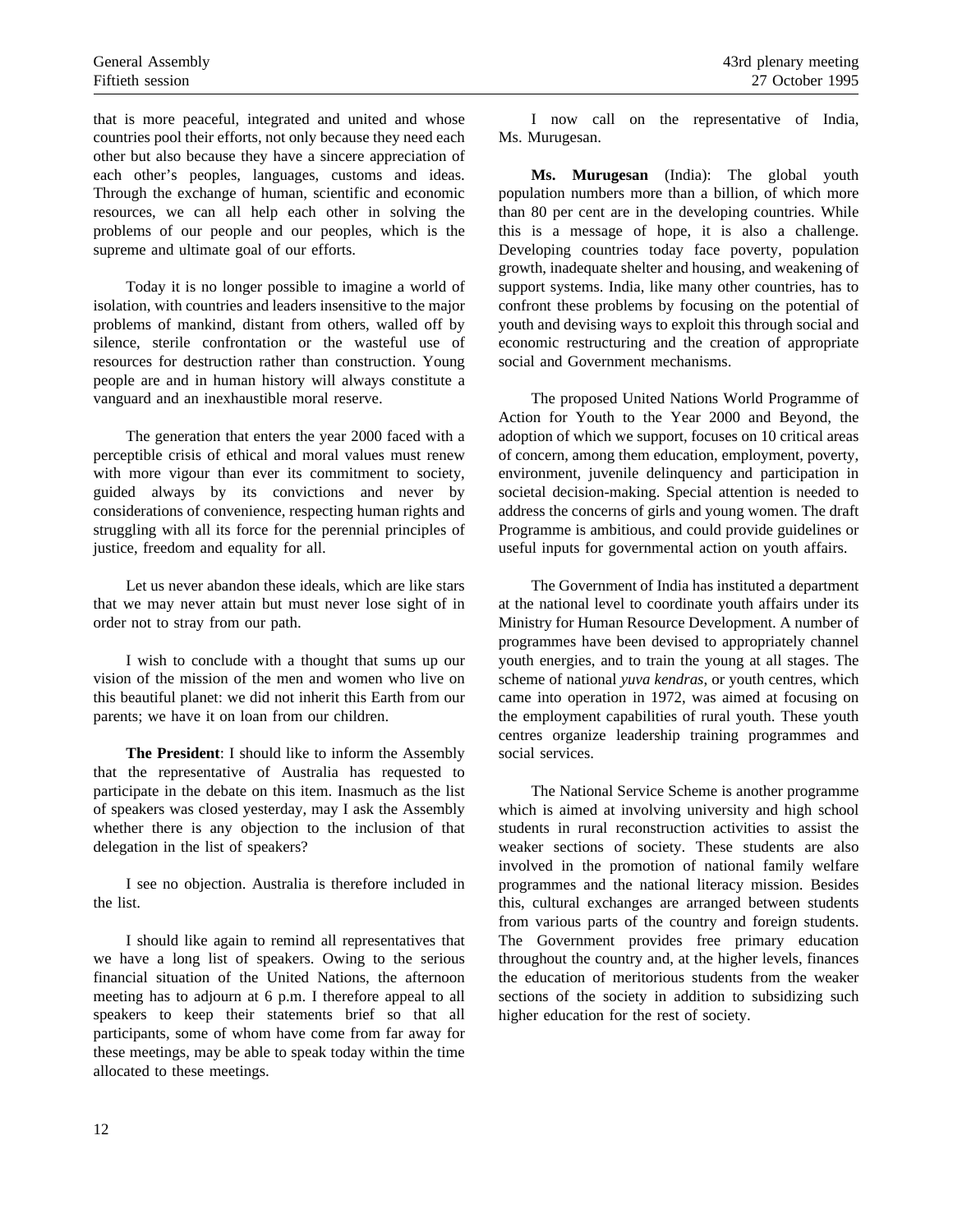that is more peaceful, integrated and united and whose countries pool their efforts, not only because they need each other but also because they have a sincere appreciation of each other's peoples, languages, customs and ideas. Through the exchange of human, scientific and economic resources, we can all help each other in solving the problems of our people and our peoples, which is the supreme and ultimate goal of our efforts.

Today it is no longer possible to imagine a world of isolation, with countries and leaders insensitive to the major problems of mankind, distant from others, walled off by silence, sterile confrontation or the wasteful use of resources for destruction rather than construction. Young people are and in human history will always constitute a vanguard and an inexhaustible moral reserve.

The generation that enters the year 2000 faced with a perceptible crisis of ethical and moral values must renew with more vigour than ever its commitment to society, guided always by its convictions and never by considerations of convenience, respecting human rights and struggling with all its force for the perennial principles of justice, freedom and equality for all.

Let us never abandon these ideals, which are like stars that we may never attain but must never lose sight of in order not to stray from our path.

I wish to conclude with a thought that sums up our vision of the mission of the men and women who live on this beautiful planet: we did not inherit this Earth from our parents; we have it on loan from our children.

**The President**: I should like to inform the Assembly that the representative of Australia has requested to participate in the debate on this item. Inasmuch as the list of speakers was closed yesterday, may I ask the Assembly whether there is any objection to the inclusion of that delegation in the list of speakers?

I see no objection. Australia is therefore included in the list.

I should like again to remind all representatives that we have a long list of speakers. Owing to the serious financial situation of the United Nations, the afternoon meeting has to adjourn at 6 p.m. I therefore appeal to all speakers to keep their statements brief so that all participants, some of whom have come from far away for these meetings, may be able to speak today within the time allocated to these meetings.

I now call on the representative of India, Ms. Murugesan.

**Ms. Murugesan** (India): The global youth population numbers more than a billion, of which more than 80 per cent are in the developing countries. While this is a message of hope, it is also a challenge. Developing countries today face poverty, population growth, inadequate shelter and housing, and weakening of support systems. India, like many other countries, has to confront these problems by focusing on the potential of youth and devising ways to exploit this through social and economic restructuring and the creation of appropriate social and Government mechanisms.

The proposed United Nations World Programme of Action for Youth to the Year 2000 and Beyond, the adoption of which we support, focuses on 10 critical areas of concern, among them education, employment, poverty, environment, juvenile delinquency and participation in societal decision-making. Special attention is needed to address the concerns of girls and young women. The draft Programme is ambitious, and could provide guidelines or useful inputs for governmental action on youth affairs.

The Government of India has instituted a department at the national level to coordinate youth affairs under its Ministry for Human Resource Development. A number of programmes have been devised to appropriately channel youth energies, and to train the young at all stages. The scheme of national *yuva kendras*, or youth centres, which came into operation in 1972, was aimed at focusing on the employment capabilities of rural youth. These youth centres organize leadership training programmes and social services.

The National Service Scheme is another programme which is aimed at involving university and high school students in rural reconstruction activities to assist the weaker sections of society. These students are also involved in the promotion of national family welfare programmes and the national literacy mission. Besides this, cultural exchanges are arranged between students from various parts of the country and foreign students. The Government provides free primary education throughout the country and, at the higher levels, finances the education of meritorious students from the weaker sections of the society in addition to subsidizing such higher education for the rest of society.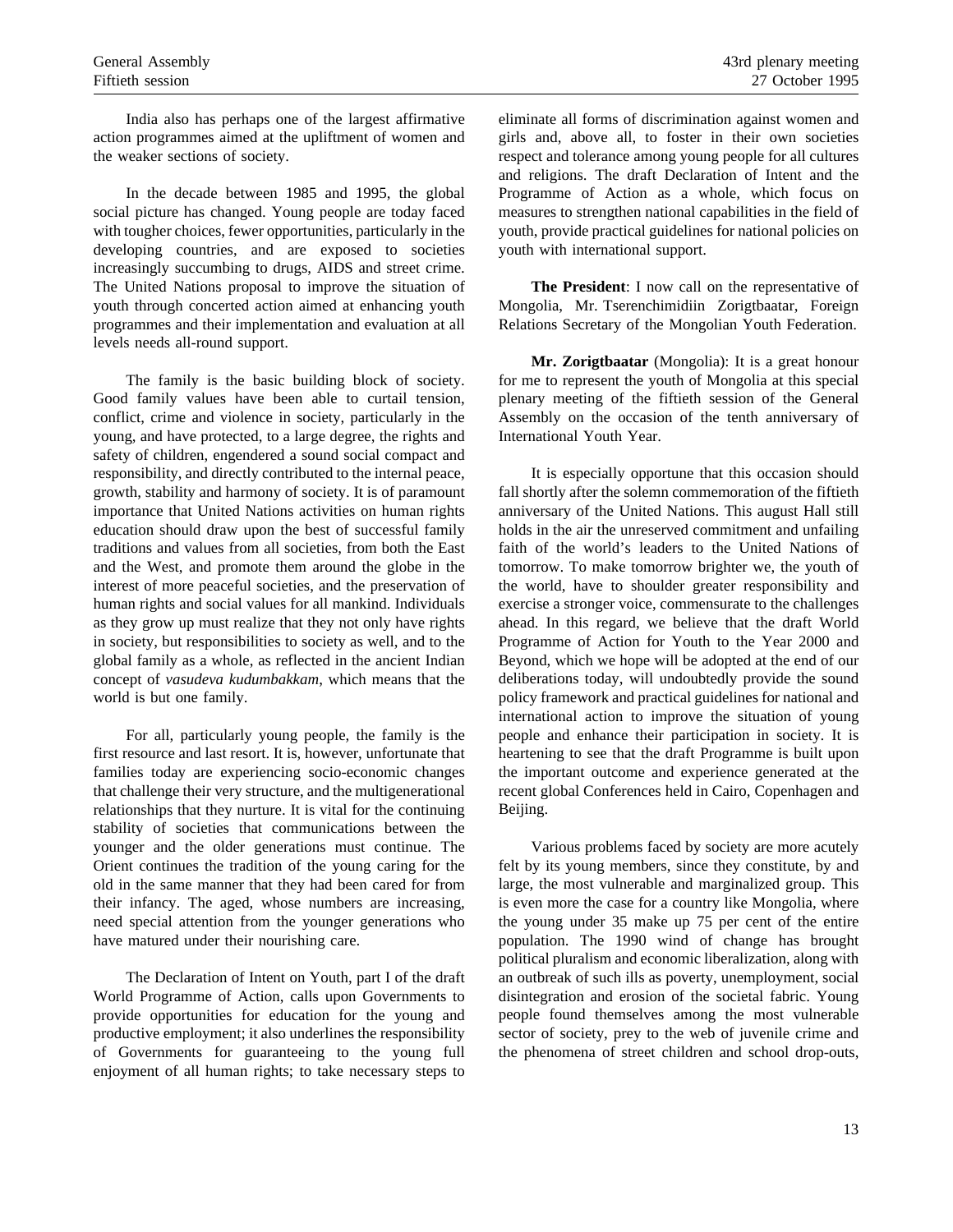India also has perhaps one of the largest affirmative action programmes aimed at the upliftment of women and the weaker sections of society.

In the decade between 1985 and 1995, the global social picture has changed. Young people are today faced with tougher choices, fewer opportunities, particularly in the developing countries, and are exposed to societies increasingly succumbing to drugs, AIDS and street crime. The United Nations proposal to improve the situation of youth through concerted action aimed at enhancing youth programmes and their implementation and evaluation at all levels needs all-round support.

The family is the basic building block of society. Good family values have been able to curtail tension, conflict, crime and violence in society, particularly in the young, and have protected, to a large degree, the rights and safety of children, engendered a sound social compact and responsibility, and directly contributed to the internal peace, growth, stability and harmony of society. It is of paramount importance that United Nations activities on human rights education should draw upon the best of successful family traditions and values from all societies, from both the East and the West, and promote them around the globe in the interest of more peaceful societies, and the preservation of human rights and social values for all mankind. Individuals as they grow up must realize that they not only have rights in society, but responsibilities to society as well, and to the global family as a whole, as reflected in the ancient Indian concept of *vasudeva kudumbakkam*, which means that the world is but one family.

For all, particularly young people, the family is the first resource and last resort. It is, however, unfortunate that families today are experiencing socio-economic changes that challenge their very structure, and the multigenerational relationships that they nurture. It is vital for the continuing stability of societies that communications between the younger and the older generations must continue. The Orient continues the tradition of the young caring for the old in the same manner that they had been cared for from their infancy. The aged, whose numbers are increasing, need special attention from the younger generations who have matured under their nourishing care.

The Declaration of Intent on Youth, part I of the draft World Programme of Action, calls upon Governments to provide opportunities for education for the young and productive employment; it also underlines the responsibility of Governments for guaranteeing to the young full enjoyment of all human rights; to take necessary steps to

eliminate all forms of discrimination against women and girls and, above all, to foster in their own societies respect and tolerance among young people for all cultures and religions. The draft Declaration of Intent and the Programme of Action as a whole, which focus on measures to strengthen national capabilities in the field of youth, provide practical guidelines for national policies on youth with international support.

**The President**: I now call on the representative of Mongolia, Mr. Tserenchimidiin Zorigtbaatar, Foreign Relations Secretary of the Mongolian Youth Federation.

**Mr. Zorigtbaatar** (Mongolia): It is a great honour for me to represent the youth of Mongolia at this special plenary meeting of the fiftieth session of the General Assembly on the occasion of the tenth anniversary of International Youth Year.

It is especially opportune that this occasion should fall shortly after the solemn commemoration of the fiftieth anniversary of the United Nations. This august Hall still holds in the air the unreserved commitment and unfailing faith of the world's leaders to the United Nations of tomorrow. To make tomorrow brighter we, the youth of the world, have to shoulder greater responsibility and exercise a stronger voice, commensurate to the challenges ahead. In this regard, we believe that the draft World Programme of Action for Youth to the Year 2000 and Beyond, which we hope will be adopted at the end of our deliberations today, will undoubtedly provide the sound policy framework and practical guidelines for national and international action to improve the situation of young people and enhance their participation in society. It is heartening to see that the draft Programme is built upon the important outcome and experience generated at the recent global Conferences held in Cairo, Copenhagen and Beijing.

Various problems faced by society are more acutely felt by its young members, since they constitute, by and large, the most vulnerable and marginalized group. This is even more the case for a country like Mongolia, where the young under 35 make up 75 per cent of the entire population. The 1990 wind of change has brought political pluralism and economic liberalization, along with an outbreak of such ills as poverty, unemployment, social disintegration and erosion of the societal fabric. Young people found themselves among the most vulnerable sector of society, prey to the web of juvenile crime and the phenomena of street children and school drop-outs,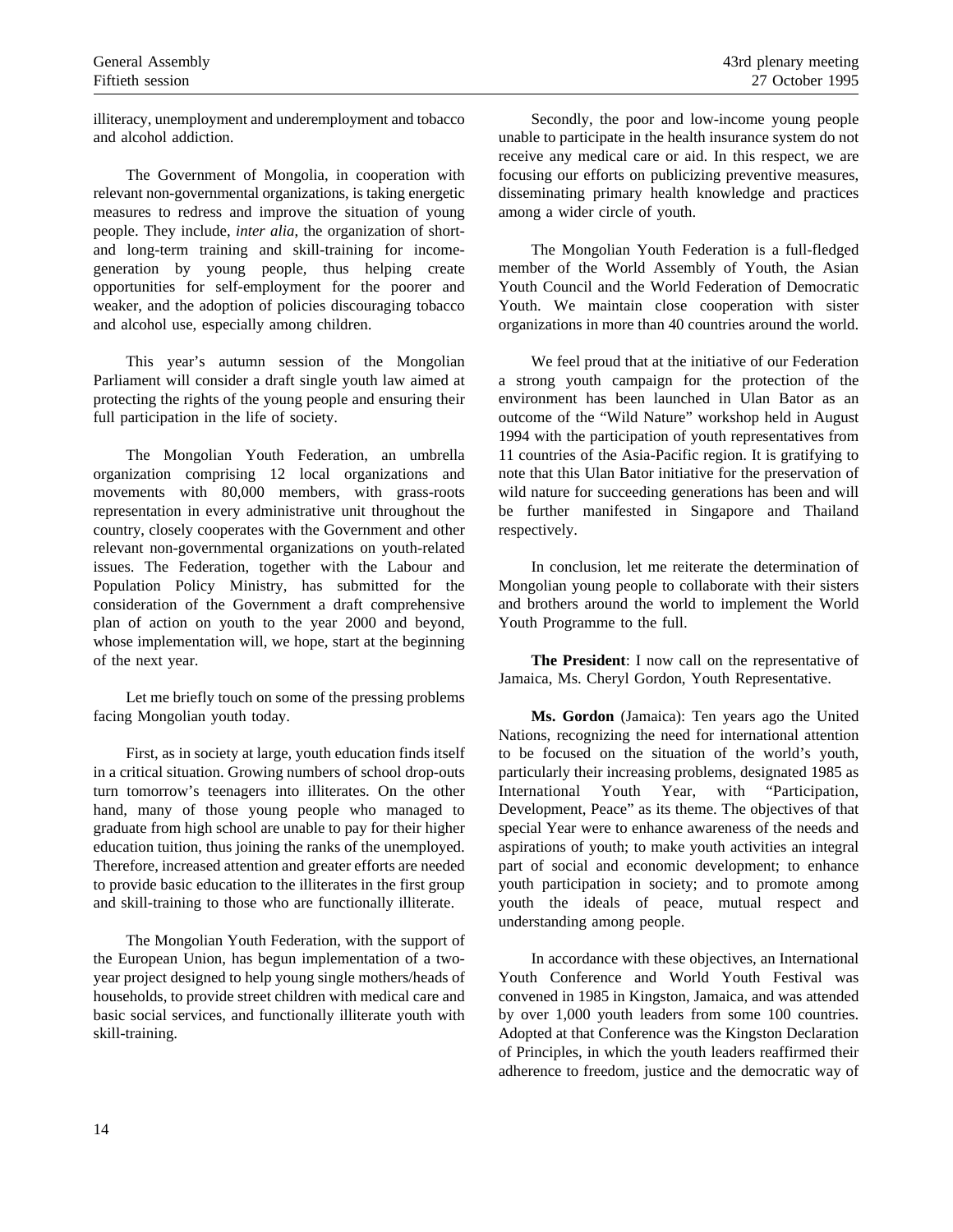illiteracy, unemployment and underemployment and tobacco and alcohol addiction.

The Government of Mongolia, in cooperation with relevant non-governmental organizations, is taking energetic measures to redress and improve the situation of young people. They include, *inter alia*, the organization of shortand long-term training and skill-training for incomegeneration by young people, thus helping create opportunities for self-employment for the poorer and weaker, and the adoption of policies discouraging tobacco and alcohol use, especially among children.

This year's autumn session of the Mongolian Parliament will consider a draft single youth law aimed at protecting the rights of the young people and ensuring their full participation in the life of society.

The Mongolian Youth Federation, an umbrella organization comprising 12 local organizations and movements with 80,000 members, with grass-roots representation in every administrative unit throughout the country, closely cooperates with the Government and other relevant non-governmental organizations on youth-related issues. The Federation, together with the Labour and Population Policy Ministry, has submitted for the consideration of the Government a draft comprehensive plan of action on youth to the year 2000 and beyond, whose implementation will, we hope, start at the beginning of the next year.

Let me briefly touch on some of the pressing problems facing Mongolian youth today.

First, as in society at large, youth education finds itself in a critical situation. Growing numbers of school drop-outs turn tomorrow's teenagers into illiterates. On the other hand, many of those young people who managed to graduate from high school are unable to pay for their higher education tuition, thus joining the ranks of the unemployed. Therefore, increased attention and greater efforts are needed to provide basic education to the illiterates in the first group and skill-training to those who are functionally illiterate.

The Mongolian Youth Federation, with the support of the European Union, has begun implementation of a twoyear project designed to help young single mothers/heads of households, to provide street children with medical care and basic social services, and functionally illiterate youth with skill-training.

Secondly, the poor and low-income young people unable to participate in the health insurance system do not receive any medical care or aid. In this respect, we are focusing our efforts on publicizing preventive measures, disseminating primary health knowledge and practices among a wider circle of youth.

The Mongolian Youth Federation is a full-fledged member of the World Assembly of Youth, the Asian Youth Council and the World Federation of Democratic Youth. We maintain close cooperation with sister organizations in more than 40 countries around the world.

We feel proud that at the initiative of our Federation a strong youth campaign for the protection of the environment has been launched in Ulan Bator as an outcome of the "Wild Nature" workshop held in August 1994 with the participation of youth representatives from 11 countries of the Asia-Pacific region. It is gratifying to note that this Ulan Bator initiative for the preservation of wild nature for succeeding generations has been and will be further manifested in Singapore and Thailand respectively.

In conclusion, let me reiterate the determination of Mongolian young people to collaborate with their sisters and brothers around the world to implement the World Youth Programme to the full.

**The President**: I now call on the representative of Jamaica, Ms. Cheryl Gordon, Youth Representative.

**Ms. Gordon** (Jamaica): Ten years ago the United Nations, recognizing the need for international attention to be focused on the situation of the world's youth, particularly their increasing problems, designated 1985 as International Youth Year, with "Participation, Development, Peace" as its theme. The objectives of that special Year were to enhance awareness of the needs and aspirations of youth; to make youth activities an integral part of social and economic development; to enhance youth participation in society; and to promote among youth the ideals of peace, mutual respect and understanding among people.

In accordance with these objectives, an International Youth Conference and World Youth Festival was convened in 1985 in Kingston, Jamaica, and was attended by over 1,000 youth leaders from some 100 countries. Adopted at that Conference was the Kingston Declaration of Principles, in which the youth leaders reaffirmed their adherence to freedom, justice and the democratic way of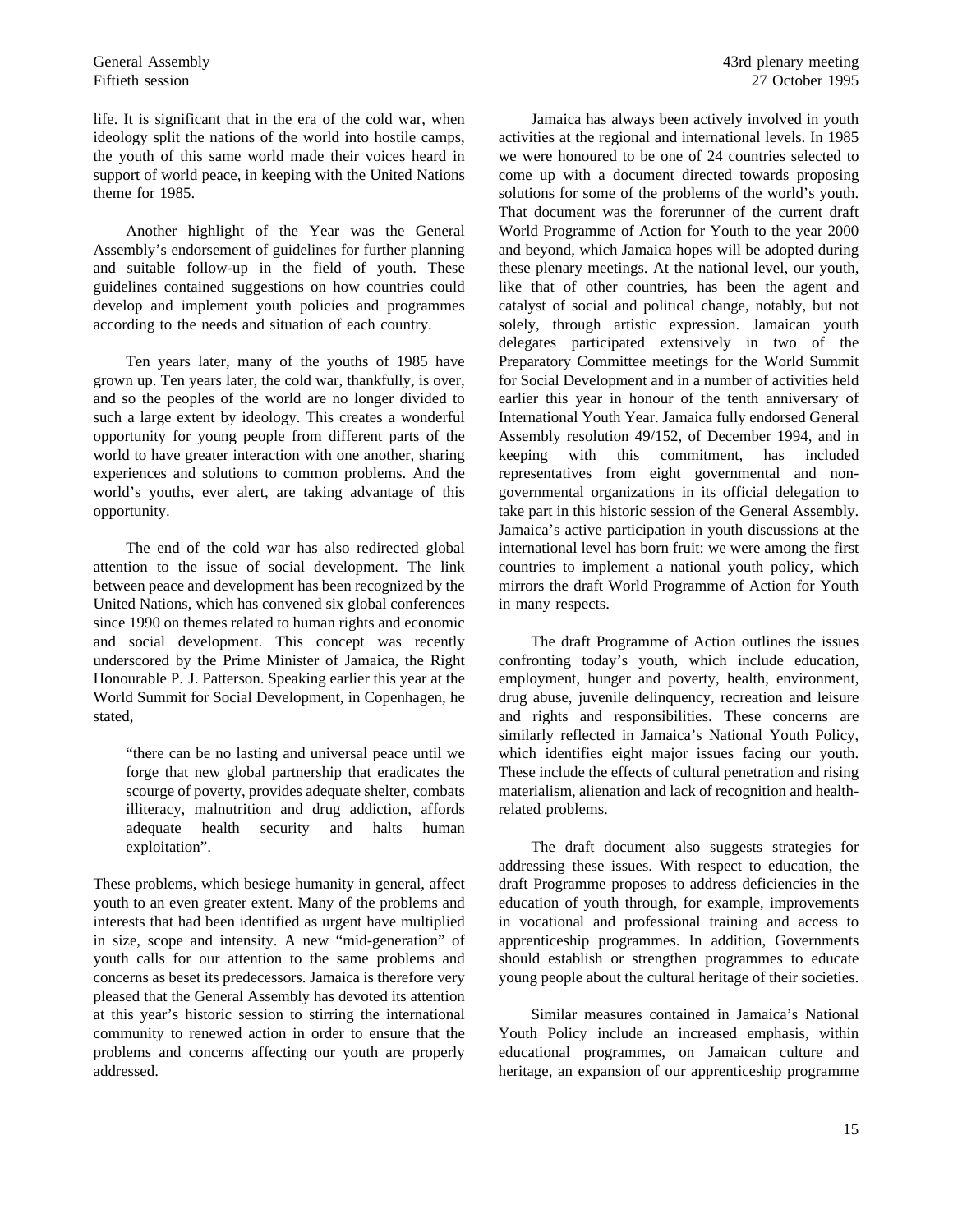life. It is significant that in the era of the cold war, when ideology split the nations of the world into hostile camps, the youth of this same world made their voices heard in support of world peace, in keeping with the United Nations theme for 1985.

Another highlight of the Year was the General Assembly's endorsement of guidelines for further planning and suitable follow-up in the field of youth. These guidelines contained suggestions on how countries could develop and implement youth policies and programmes according to the needs and situation of each country.

Ten years later, many of the youths of 1985 have grown up. Ten years later, the cold war, thankfully, is over, and so the peoples of the world are no longer divided to such a large extent by ideology. This creates a wonderful opportunity for young people from different parts of the world to have greater interaction with one another, sharing experiences and solutions to common problems. And the world's youths, ever alert, are taking advantage of this opportunity.

The end of the cold war has also redirected global attention to the issue of social development. The link between peace and development has been recognized by the United Nations, which has convened six global conferences since 1990 on themes related to human rights and economic and social development. This concept was recently underscored by the Prime Minister of Jamaica, the Right Honourable P. J. Patterson. Speaking earlier this year at the World Summit for Social Development, in Copenhagen, he stated,

"there can be no lasting and universal peace until we forge that new global partnership that eradicates the scourge of poverty, provides adequate shelter, combats illiteracy, malnutrition and drug addiction, affords adequate health security and halts human exploitation".

These problems, which besiege humanity in general, affect youth to an even greater extent. Many of the problems and interests that had been identified as urgent have multiplied in size, scope and intensity. A new "mid-generation" of youth calls for our attention to the same problems and concerns as beset its predecessors. Jamaica is therefore very pleased that the General Assembly has devoted its attention at this year's historic session to stirring the international community to renewed action in order to ensure that the problems and concerns affecting our youth are properly addressed.

Jamaica has always been actively involved in youth activities at the regional and international levels. In 1985 we were honoured to be one of 24 countries selected to come up with a document directed towards proposing solutions for some of the problems of the world's youth. That document was the forerunner of the current draft World Programme of Action for Youth to the year 2000 and beyond, which Jamaica hopes will be adopted during these plenary meetings. At the national level, our youth, like that of other countries, has been the agent and catalyst of social and political change, notably, but not solely, through artistic expression. Jamaican youth delegates participated extensively in two of the Preparatory Committee meetings for the World Summit for Social Development and in a number of activities held earlier this year in honour of the tenth anniversary of International Youth Year. Jamaica fully endorsed General Assembly resolution 49/152, of December 1994, and in keeping with this commitment, has included representatives from eight governmental and nongovernmental organizations in its official delegation to take part in this historic session of the General Assembly. Jamaica's active participation in youth discussions at the international level has born fruit: we were among the first countries to implement a national youth policy, which mirrors the draft World Programme of Action for Youth in many respects.

The draft Programme of Action outlines the issues confronting today's youth, which include education, employment, hunger and poverty, health, environment, drug abuse, juvenile delinquency, recreation and leisure and rights and responsibilities. These concerns are similarly reflected in Jamaica's National Youth Policy, which identifies eight major issues facing our youth. These include the effects of cultural penetration and rising materialism, alienation and lack of recognition and healthrelated problems.

The draft document also suggests strategies for addressing these issues. With respect to education, the draft Programme proposes to address deficiencies in the education of youth through, for example, improvements in vocational and professional training and access to apprenticeship programmes. In addition, Governments should establish or strengthen programmes to educate young people about the cultural heritage of their societies.

Similar measures contained in Jamaica's National Youth Policy include an increased emphasis, within educational programmes, on Jamaican culture and heritage, an expansion of our apprenticeship programme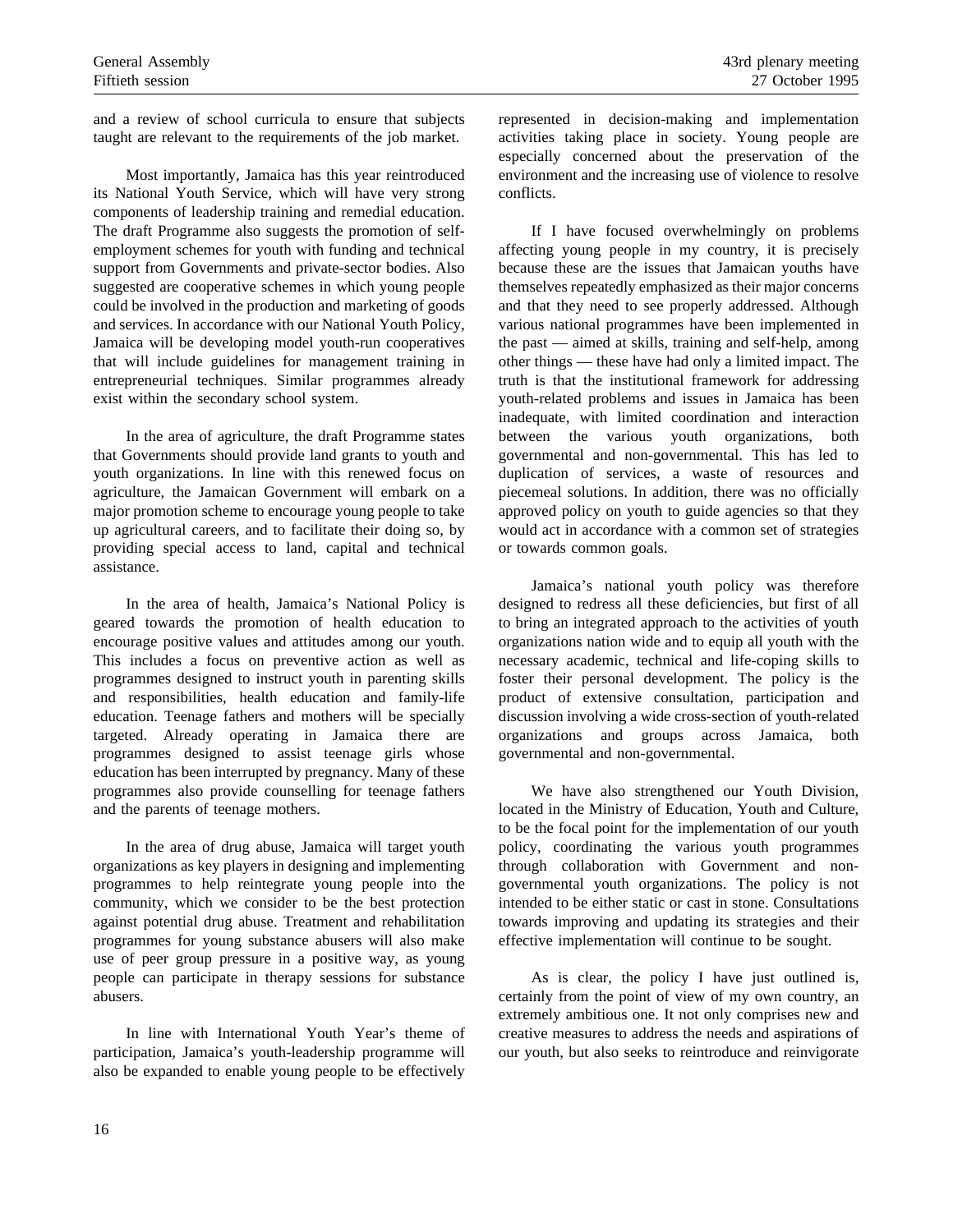and a review of school curricula to ensure that subjects taught are relevant to the requirements of the job market.

Most importantly, Jamaica has this year reintroduced its National Youth Service, which will have very strong components of leadership training and remedial education. The draft Programme also suggests the promotion of selfemployment schemes for youth with funding and technical support from Governments and private-sector bodies. Also suggested are cooperative schemes in which young people could be involved in the production and marketing of goods and services. In accordance with our National Youth Policy, Jamaica will be developing model youth-run cooperatives that will include guidelines for management training in entrepreneurial techniques. Similar programmes already exist within the secondary school system.

In the area of agriculture, the draft Programme states that Governments should provide land grants to youth and youth organizations. In line with this renewed focus on agriculture, the Jamaican Government will embark on a major promotion scheme to encourage young people to take up agricultural careers, and to facilitate their doing so, by providing special access to land, capital and technical assistance.

In the area of health, Jamaica's National Policy is geared towards the promotion of health education to encourage positive values and attitudes among our youth. This includes a focus on preventive action as well as programmes designed to instruct youth in parenting skills and responsibilities, health education and family-life education. Teenage fathers and mothers will be specially targeted. Already operating in Jamaica there are programmes designed to assist teenage girls whose education has been interrupted by pregnancy. Many of these programmes also provide counselling for teenage fathers and the parents of teenage mothers.

In the area of drug abuse, Jamaica will target youth organizations as key players in designing and implementing programmes to help reintegrate young people into the community, which we consider to be the best protection against potential drug abuse. Treatment and rehabilitation programmes for young substance abusers will also make use of peer group pressure in a positive way, as young people can participate in therapy sessions for substance abusers.

In line with International Youth Year's theme of participation, Jamaica's youth-leadership programme will also be expanded to enable young people to be effectively represented in decision-making and implementation activities taking place in society. Young people are especially concerned about the preservation of the environment and the increasing use of violence to resolve conflicts.

If I have focused overwhelmingly on problems affecting young people in my country, it is precisely because these are the issues that Jamaican youths have themselves repeatedly emphasized as their major concerns and that they need to see properly addressed. Although various national programmes have been implemented in the past — aimed at skills, training and self-help, among other things — these have had only a limited impact. The truth is that the institutional framework for addressing youth-related problems and issues in Jamaica has been inadequate, with limited coordination and interaction between the various youth organizations, both governmental and non-governmental. This has led to duplication of services, a waste of resources and piecemeal solutions. In addition, there was no officially approved policy on youth to guide agencies so that they would act in accordance with a common set of strategies or towards common goals.

Jamaica's national youth policy was therefore designed to redress all these deficiencies, but first of all to bring an integrated approach to the activities of youth organizations nation wide and to equip all youth with the necessary academic, technical and life-coping skills to foster their personal development. The policy is the product of extensive consultation, participation and discussion involving a wide cross-section of youth-related organizations and groups across Jamaica, both governmental and non-governmental.

We have also strengthened our Youth Division, located in the Ministry of Education, Youth and Culture, to be the focal point for the implementation of our youth policy, coordinating the various youth programmes through collaboration with Government and nongovernmental youth organizations. The policy is not intended to be either static or cast in stone. Consultations towards improving and updating its strategies and their effective implementation will continue to be sought.

As is clear, the policy I have just outlined is, certainly from the point of view of my own country, an extremely ambitious one. It not only comprises new and creative measures to address the needs and aspirations of our youth, but also seeks to reintroduce and reinvigorate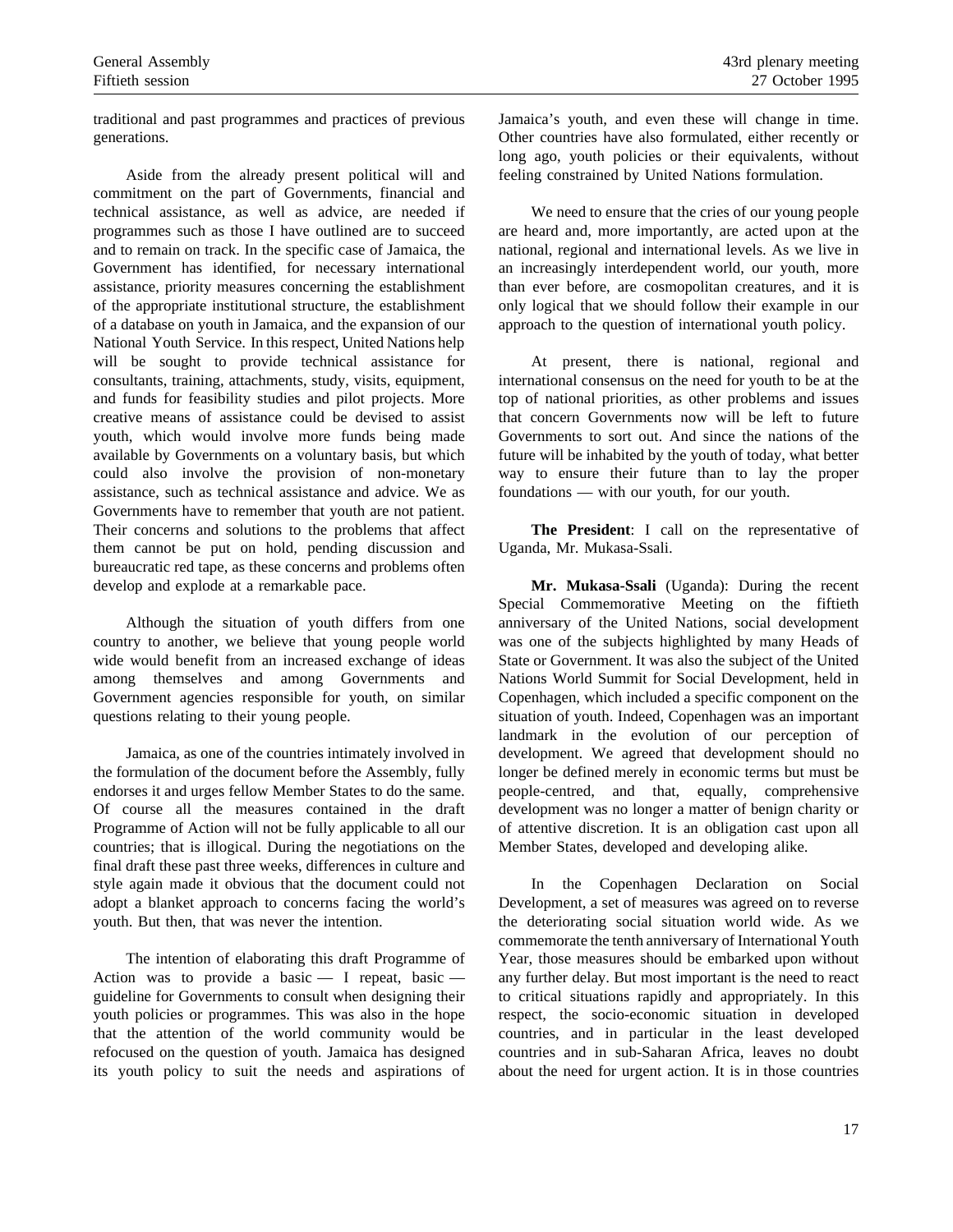traditional and past programmes and practices of previous generations.

Aside from the already present political will and commitment on the part of Governments, financial and technical assistance, as well as advice, are needed if programmes such as those I have outlined are to succeed and to remain on track. In the specific case of Jamaica, the Government has identified, for necessary international assistance, priority measures concerning the establishment of the appropriate institutional structure, the establishment of a database on youth in Jamaica, and the expansion of our National Youth Service. In this respect, United Nations help will be sought to provide technical assistance for consultants, training, attachments, study, visits, equipment, and funds for feasibility studies and pilot projects. More creative means of assistance could be devised to assist youth, which would involve more funds being made available by Governments on a voluntary basis, but which could also involve the provision of non-monetary assistance, such as technical assistance and advice. We as Governments have to remember that youth are not patient. Their concerns and solutions to the problems that affect them cannot be put on hold, pending discussion and bureaucratic red tape, as these concerns and problems often develop and explode at a remarkable pace.

Although the situation of youth differs from one country to another, we believe that young people world wide would benefit from an increased exchange of ideas among themselves and among Governments and Government agencies responsible for youth, on similar questions relating to their young people.

Jamaica, as one of the countries intimately involved in the formulation of the document before the Assembly, fully endorses it and urges fellow Member States to do the same. Of course all the measures contained in the draft Programme of Action will not be fully applicable to all our countries; that is illogical. During the negotiations on the final draft these past three weeks, differences in culture and style again made it obvious that the document could not adopt a blanket approach to concerns facing the world's youth. But then, that was never the intention.

The intention of elaborating this draft Programme of Action was to provide a basic  $-$  I repeat, basic  $$ guideline for Governments to consult when designing their youth policies or programmes. This was also in the hope that the attention of the world community would be refocused on the question of youth. Jamaica has designed its youth policy to suit the needs and aspirations of Jamaica's youth, and even these will change in time. Other countries have also formulated, either recently or long ago, youth policies or their equivalents, without feeling constrained by United Nations formulation.

We need to ensure that the cries of our young people are heard and, more importantly, are acted upon at the national, regional and international levels. As we live in an increasingly interdependent world, our youth, more than ever before, are cosmopolitan creatures, and it is only logical that we should follow their example in our approach to the question of international youth policy.

At present, there is national, regional and international consensus on the need for youth to be at the top of national priorities, as other problems and issues that concern Governments now will be left to future Governments to sort out. And since the nations of the future will be inhabited by the youth of today, what better way to ensure their future than to lay the proper foundations — with our youth, for our youth.

**The President**: I call on the representative of Uganda, Mr. Mukasa-Ssali.

**Mr. Mukasa-Ssali** (Uganda): During the recent Special Commemorative Meeting on the fiftieth anniversary of the United Nations, social development was one of the subjects highlighted by many Heads of State or Government. It was also the subject of the United Nations World Summit for Social Development, held in Copenhagen, which included a specific component on the situation of youth. Indeed, Copenhagen was an important landmark in the evolution of our perception of development. We agreed that development should no longer be defined merely in economic terms but must be people-centred, and that, equally, comprehensive development was no longer a matter of benign charity or of attentive discretion. It is an obligation cast upon all Member States, developed and developing alike.

In the Copenhagen Declaration on Social Development, a set of measures was agreed on to reverse the deteriorating social situation world wide. As we commemorate the tenth anniversary of International Youth Year, those measures should be embarked upon without any further delay. But most important is the need to react to critical situations rapidly and appropriately. In this respect, the socio-economic situation in developed countries, and in particular in the least developed countries and in sub-Saharan Africa, leaves no doubt about the need for urgent action. It is in those countries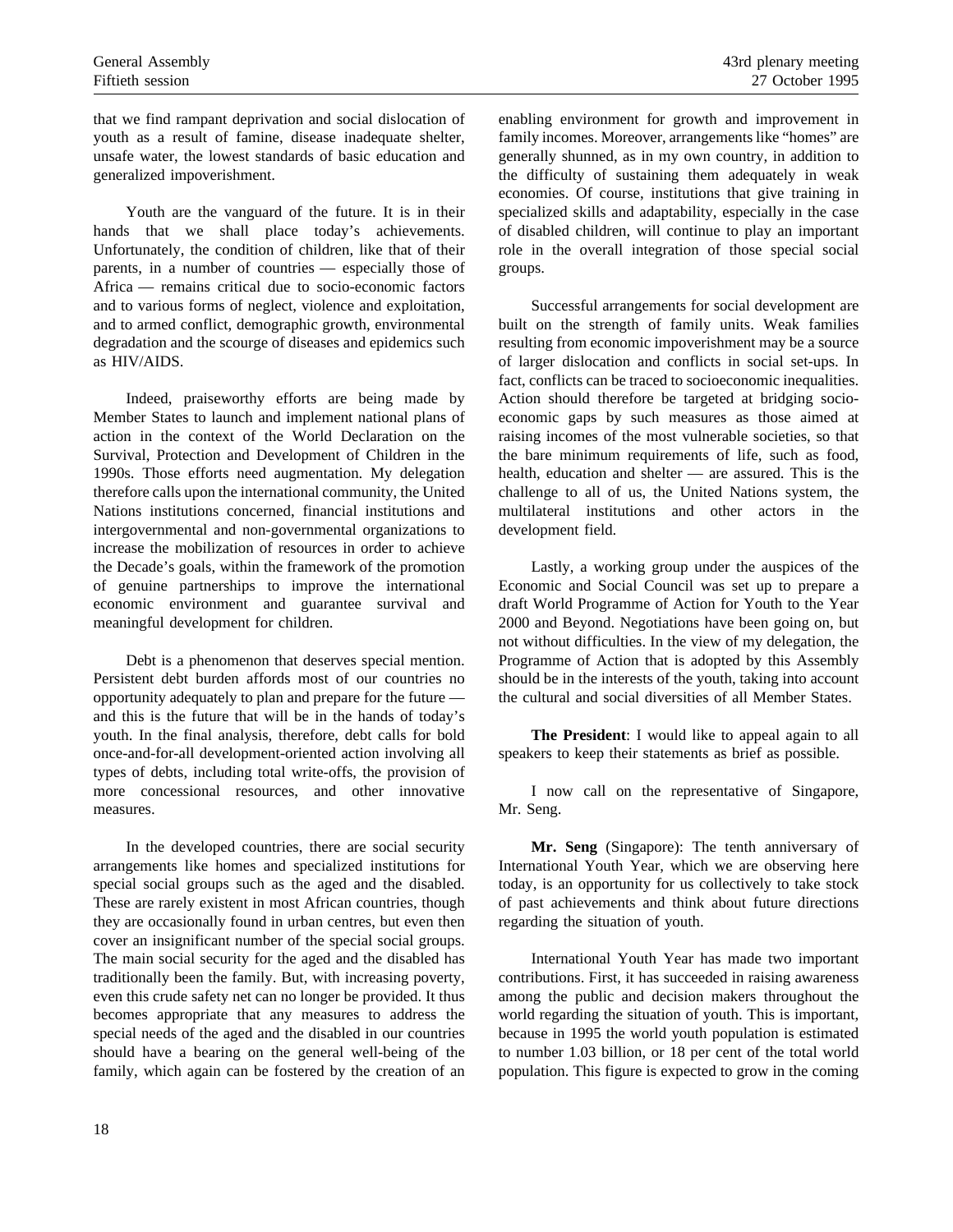that we find rampant deprivation and social dislocation of youth as a result of famine, disease inadequate shelter, unsafe water, the lowest standards of basic education and generalized impoverishment.

Youth are the vanguard of the future. It is in their hands that we shall place today's achievements. Unfortunately, the condition of children, like that of their parents, in a number of countries — especially those of Africa — remains critical due to socio-economic factors and to various forms of neglect, violence and exploitation, and to armed conflict, demographic growth, environmental degradation and the scourge of diseases and epidemics such as HIV/AIDS.

Indeed, praiseworthy efforts are being made by Member States to launch and implement national plans of action in the context of the World Declaration on the Survival, Protection and Development of Children in the 1990s. Those efforts need augmentation. My delegation therefore calls upon the international community, the United Nations institutions concerned, financial institutions and intergovernmental and non-governmental organizations to increase the mobilization of resources in order to achieve the Decade's goals, within the framework of the promotion of genuine partnerships to improve the international economic environment and guarantee survival and meaningful development for children.

Debt is a phenomenon that deserves special mention. Persistent debt burden affords most of our countries no opportunity adequately to plan and prepare for the future and this is the future that will be in the hands of today's youth. In the final analysis, therefore, debt calls for bold once-and-for-all development-oriented action involving all types of debts, including total write-offs, the provision of more concessional resources, and other innovative measures.

In the developed countries, there are social security arrangements like homes and specialized institutions for special social groups such as the aged and the disabled. These are rarely existent in most African countries, though they are occasionally found in urban centres, but even then cover an insignificant number of the special social groups. The main social security for the aged and the disabled has traditionally been the family. But, with increasing poverty, even this crude safety net can no longer be provided. It thus becomes appropriate that any measures to address the special needs of the aged and the disabled in our countries should have a bearing on the general well-being of the family, which again can be fostered by the creation of an enabling environment for growth and improvement in family incomes. Moreover, arrangements like "homes" are generally shunned, as in my own country, in addition to the difficulty of sustaining them adequately in weak economies. Of course, institutions that give training in specialized skills and adaptability, especially in the case of disabled children, will continue to play an important role in the overall integration of those special social groups.

Successful arrangements for social development are built on the strength of family units. Weak families resulting from economic impoverishment may be a source of larger dislocation and conflicts in social set-ups. In fact, conflicts can be traced to socioeconomic inequalities. Action should therefore be targeted at bridging socioeconomic gaps by such measures as those aimed at raising incomes of the most vulnerable societies, so that the bare minimum requirements of life, such as food, health, education and shelter — are assured. This is the challenge to all of us, the United Nations system, the multilateral institutions and other actors in the development field.

Lastly, a working group under the auspices of the Economic and Social Council was set up to prepare a draft World Programme of Action for Youth to the Year 2000 and Beyond. Negotiations have been going on, but not without difficulties. In the view of my delegation, the Programme of Action that is adopted by this Assembly should be in the interests of the youth, taking into account the cultural and social diversities of all Member States.

**The President**: I would like to appeal again to all speakers to keep their statements as brief as possible.

I now call on the representative of Singapore, Mr. Seng.

**Mr. Seng** (Singapore): The tenth anniversary of International Youth Year, which we are observing here today, is an opportunity for us collectively to take stock of past achievements and think about future directions regarding the situation of youth.

International Youth Year has made two important contributions. First, it has succeeded in raising awareness among the public and decision makers throughout the world regarding the situation of youth. This is important, because in 1995 the world youth population is estimated to number 1.03 billion, or 18 per cent of the total world population. This figure is expected to grow in the coming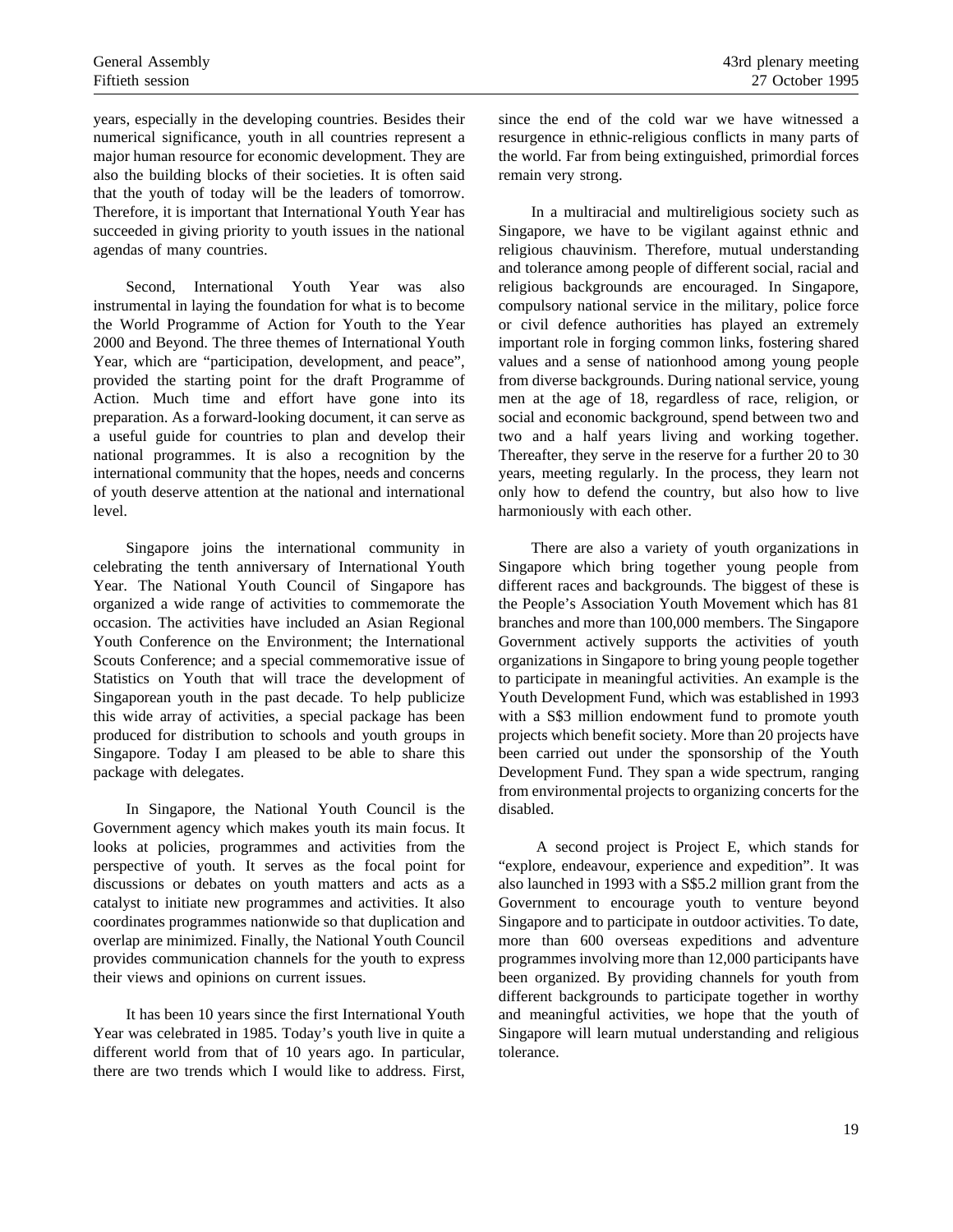years, especially in the developing countries. Besides their numerical significance, youth in all countries represent a major human resource for economic development. They are also the building blocks of their societies. It is often said that the youth of today will be the leaders of tomorrow. Therefore, it is important that International Youth Year has succeeded in giving priority to youth issues in the national agendas of many countries.

Second, International Youth Year was also instrumental in laying the foundation for what is to become the World Programme of Action for Youth to the Year 2000 and Beyond. The three themes of International Youth Year, which are "participation, development, and peace", provided the starting point for the draft Programme of Action. Much time and effort have gone into its preparation. As a forward-looking document, it can serve as a useful guide for countries to plan and develop their national programmes. It is also a recognition by the international community that the hopes, needs and concerns of youth deserve attention at the national and international level.

Singapore joins the international community in celebrating the tenth anniversary of International Youth Year. The National Youth Council of Singapore has organized a wide range of activities to commemorate the occasion. The activities have included an Asian Regional Youth Conference on the Environment; the International Scouts Conference; and a special commemorative issue of Statistics on Youth that will trace the development of Singaporean youth in the past decade. To help publicize this wide array of activities, a special package has been produced for distribution to schools and youth groups in Singapore. Today I am pleased to be able to share this package with delegates.

In Singapore, the National Youth Council is the Government agency which makes youth its main focus. It looks at policies, programmes and activities from the perspective of youth. It serves as the focal point for discussions or debates on youth matters and acts as a catalyst to initiate new programmes and activities. It also coordinates programmes nationwide so that duplication and overlap are minimized. Finally, the National Youth Council provides communication channels for the youth to express their views and opinions on current issues.

It has been 10 years since the first International Youth Year was celebrated in 1985. Today's youth live in quite a different world from that of 10 years ago. In particular, there are two trends which I would like to address. First, since the end of the cold war we have witnessed a resurgence in ethnic-religious conflicts in many parts of the world. Far from being extinguished, primordial forces remain very strong.

In a multiracial and multireligious society such as Singapore, we have to be vigilant against ethnic and religious chauvinism. Therefore, mutual understanding and tolerance among people of different social, racial and religious backgrounds are encouraged. In Singapore, compulsory national service in the military, police force or civil defence authorities has played an extremely important role in forging common links, fostering shared values and a sense of nationhood among young people from diverse backgrounds. During national service, young men at the age of 18, regardless of race, religion, or social and economic background, spend between two and two and a half years living and working together. Thereafter, they serve in the reserve for a further 20 to 30 years, meeting regularly. In the process, they learn not only how to defend the country, but also how to live harmoniously with each other.

There are also a variety of youth organizations in Singapore which bring together young people from different races and backgrounds. The biggest of these is the People's Association Youth Movement which has 81 branches and more than 100,000 members. The Singapore Government actively supports the activities of youth organizations in Singapore to bring young people together to participate in meaningful activities. An example is the Youth Development Fund, which was established in 1993 with a S\$3 million endowment fund to promote youth projects which benefit society. More than 20 projects have been carried out under the sponsorship of the Youth Development Fund. They span a wide spectrum, ranging from environmental projects to organizing concerts for the disabled.

A second project is Project E, which stands for "explore, endeavour, experience and expedition". It was also launched in 1993 with a S\$5.2 million grant from the Government to encourage youth to venture beyond Singapore and to participate in outdoor activities. To date, more than 600 overseas expeditions and adventure programmes involving more than 12,000 participants have been organized. By providing channels for youth from different backgrounds to participate together in worthy and meaningful activities, we hope that the youth of Singapore will learn mutual understanding and religious tolerance.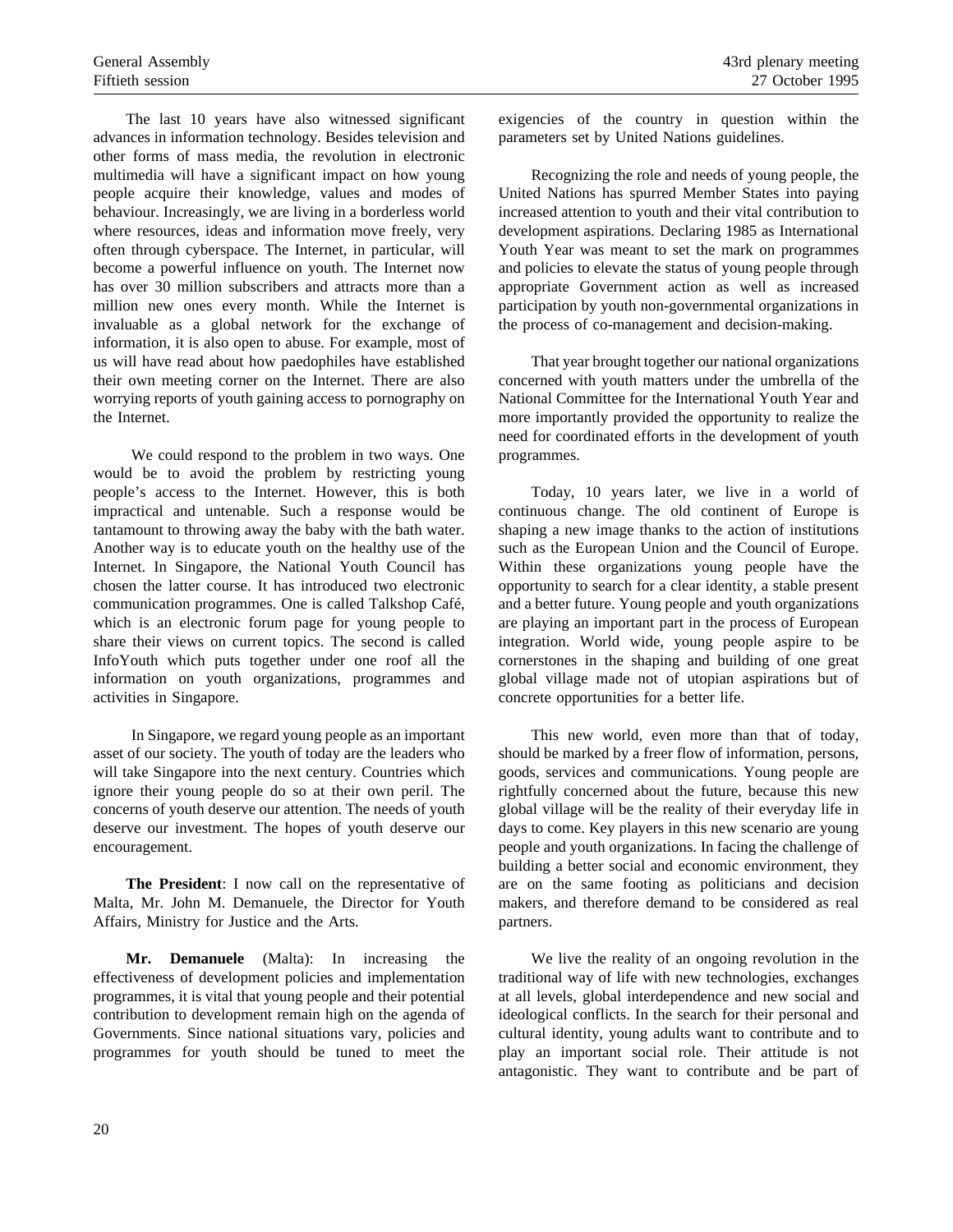The last 10 years have also witnessed significant advances in information technology. Besides television and other forms of mass media, the revolution in electronic multimedia will have a significant impact on how young people acquire their knowledge, values and modes of behaviour. Increasingly, we are living in a borderless world where resources, ideas and information move freely, very often through cyberspace. The Internet, in particular, will become a powerful influence on youth. The Internet now has over 30 million subscribers and attracts more than a million new ones every month. While the Internet is invaluable as a global network for the exchange of information, it is also open to abuse. For example, most of us will have read about how paedophiles have established their own meeting corner on the Internet. There are also worrying reports of youth gaining access to pornography on the Internet.

We could respond to the problem in two ways. One would be to avoid the problem by restricting young people's access to the Internet. However, this is both impractical and untenable. Such a response would be tantamount to throwing away the baby with the bath water. Another way is to educate youth on the healthy use of the Internet. In Singapore, the National Youth Council has chosen the latter course. It has introduced two electronic communication programmes. One is called Talkshop Café, which is an electronic forum page for young people to share their views on current topics. The second is called InfoYouth which puts together under one roof all the information on youth organizations, programmes and activities in Singapore.

In Singapore, we regard young people as an important asset of our society. The youth of today are the leaders who will take Singapore into the next century. Countries which ignore their young people do so at their own peril. The concerns of youth deserve our attention. The needs of youth deserve our investment. The hopes of youth deserve our encouragement.

**The President**: I now call on the representative of Malta, Mr. John M. Demanuele, the Director for Youth Affairs, Ministry for Justice and the Arts.

**Mr. Demanuele** (Malta): In increasing the effectiveness of development policies and implementation programmes, it is vital that young people and their potential contribution to development remain high on the agenda of Governments. Since national situations vary, policies and programmes for youth should be tuned to meet the exigencies of the country in question within the parameters set by United Nations guidelines.

Recognizing the role and needs of young people, the United Nations has spurred Member States into paying increased attention to youth and their vital contribution to development aspirations. Declaring 1985 as International Youth Year was meant to set the mark on programmes and policies to elevate the status of young people through appropriate Government action as well as increased participation by youth non-governmental organizations in the process of co-management and decision-making.

That year brought together our national organizations concerned with youth matters under the umbrella of the National Committee for the International Youth Year and more importantly provided the opportunity to realize the need for coordinated efforts in the development of youth programmes.

Today, 10 years later, we live in a world of continuous change. The old continent of Europe is shaping a new image thanks to the action of institutions such as the European Union and the Council of Europe. Within these organizations young people have the opportunity to search for a clear identity, a stable present and a better future. Young people and youth organizations are playing an important part in the process of European integration. World wide, young people aspire to be cornerstones in the shaping and building of one great global village made not of utopian aspirations but of concrete opportunities for a better life.

This new world, even more than that of today, should be marked by a freer flow of information, persons, goods, services and communications. Young people are rightfully concerned about the future, because this new global village will be the reality of their everyday life in days to come. Key players in this new scenario are young people and youth organizations. In facing the challenge of building a better social and economic environment, they are on the same footing as politicians and decision makers, and therefore demand to be considered as real partners.

We live the reality of an ongoing revolution in the traditional way of life with new technologies, exchanges at all levels, global interdependence and new social and ideological conflicts. In the search for their personal and cultural identity, young adults want to contribute and to play an important social role. Their attitude is not antagonistic. They want to contribute and be part of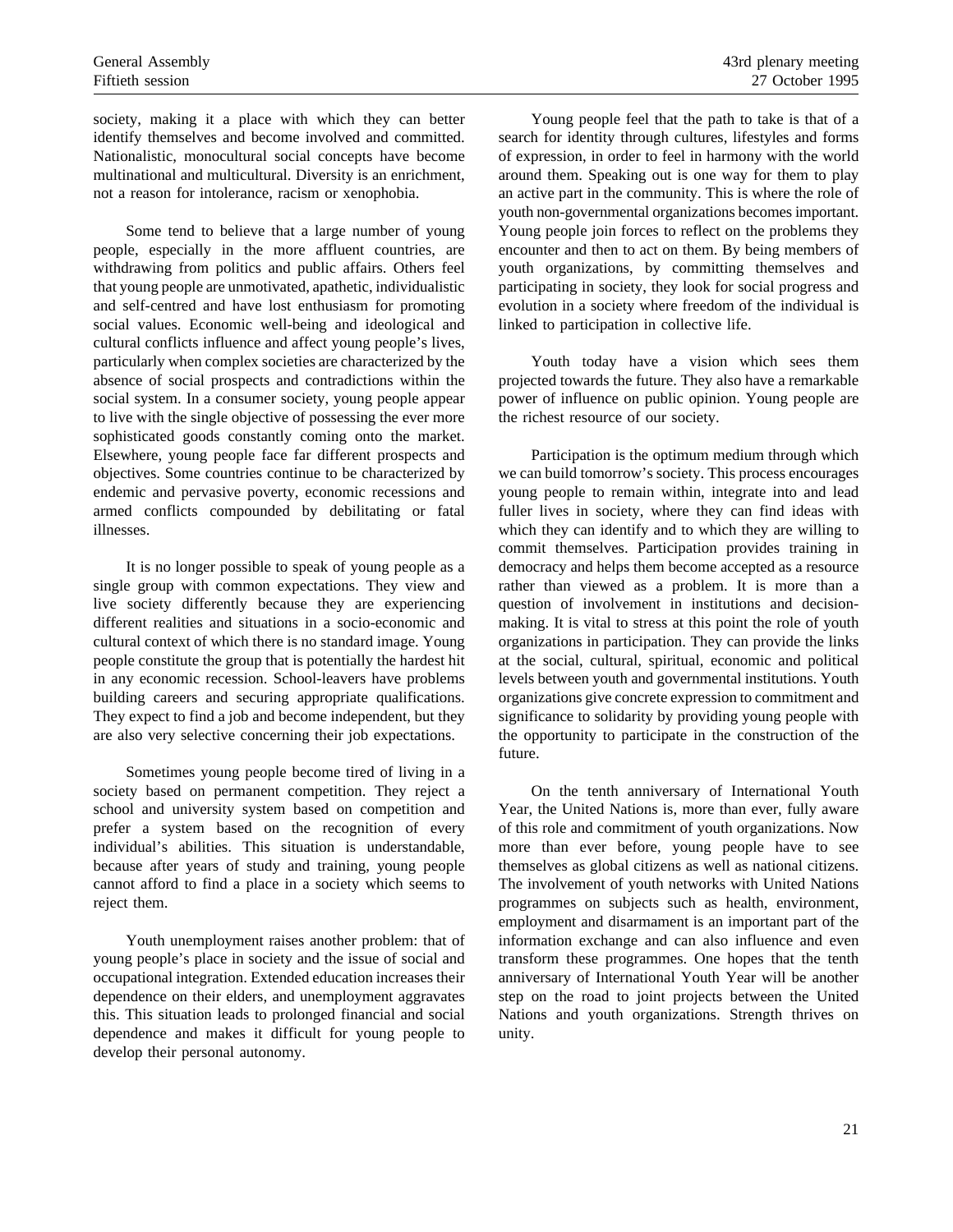society, making it a place with which they can better identify themselves and become involved and committed. Nationalistic, monocultural social concepts have become multinational and multicultural. Diversity is an enrichment, not a reason for intolerance, racism or xenophobia.

Some tend to believe that a large number of young people, especially in the more affluent countries, are withdrawing from politics and public affairs. Others feel that young people are unmotivated, apathetic, individualistic and self-centred and have lost enthusiasm for promoting social values. Economic well-being and ideological and cultural conflicts influence and affect young people's lives, particularly when complex societies are characterized by the absence of social prospects and contradictions within the social system. In a consumer society, young people appear to live with the single objective of possessing the ever more sophisticated goods constantly coming onto the market. Elsewhere, young people face far different prospects and objectives. Some countries continue to be characterized by endemic and pervasive poverty, economic recessions and armed conflicts compounded by debilitating or fatal illnesses.

It is no longer possible to speak of young people as a single group with common expectations. They view and live society differently because they are experiencing different realities and situations in a socio-economic and cultural context of which there is no standard image. Young people constitute the group that is potentially the hardest hit in any economic recession. School-leavers have problems building careers and securing appropriate qualifications. They expect to find a job and become independent, but they are also very selective concerning their job expectations.

Sometimes young people become tired of living in a society based on permanent competition. They reject a school and university system based on competition and prefer a system based on the recognition of every individual's abilities. This situation is understandable, because after years of study and training, young people cannot afford to find a place in a society which seems to reject them.

Youth unemployment raises another problem: that of young people's place in society and the issue of social and occupational integration. Extended education increases their dependence on their elders, and unemployment aggravates this. This situation leads to prolonged financial and social dependence and makes it difficult for young people to develop their personal autonomy.

Young people feel that the path to take is that of a search for identity through cultures, lifestyles and forms of expression, in order to feel in harmony with the world around them. Speaking out is one way for them to play an active part in the community. This is where the role of youth non-governmental organizations becomes important. Young people join forces to reflect on the problems they encounter and then to act on them. By being members of youth organizations, by committing themselves and participating in society, they look for social progress and evolution in a society where freedom of the individual is linked to participation in collective life.

Youth today have a vision which sees them projected towards the future. They also have a remarkable power of influence on public opinion. Young people are the richest resource of our society.

Participation is the optimum medium through which we can build tomorrow's society. This process encourages young people to remain within, integrate into and lead fuller lives in society, where they can find ideas with which they can identify and to which they are willing to commit themselves. Participation provides training in democracy and helps them become accepted as a resource rather than viewed as a problem. It is more than a question of involvement in institutions and decisionmaking. It is vital to stress at this point the role of youth organizations in participation. They can provide the links at the social, cultural, spiritual, economic and political levels between youth and governmental institutions. Youth organizations give concrete expression to commitment and significance to solidarity by providing young people with the opportunity to participate in the construction of the future.

On the tenth anniversary of International Youth Year, the United Nations is, more than ever, fully aware of this role and commitment of youth organizations. Now more than ever before, young people have to see themselves as global citizens as well as national citizens. The involvement of youth networks with United Nations programmes on subjects such as health, environment, employment and disarmament is an important part of the information exchange and can also influence and even transform these programmes. One hopes that the tenth anniversary of International Youth Year will be another step on the road to joint projects between the United Nations and youth organizations. Strength thrives on unity.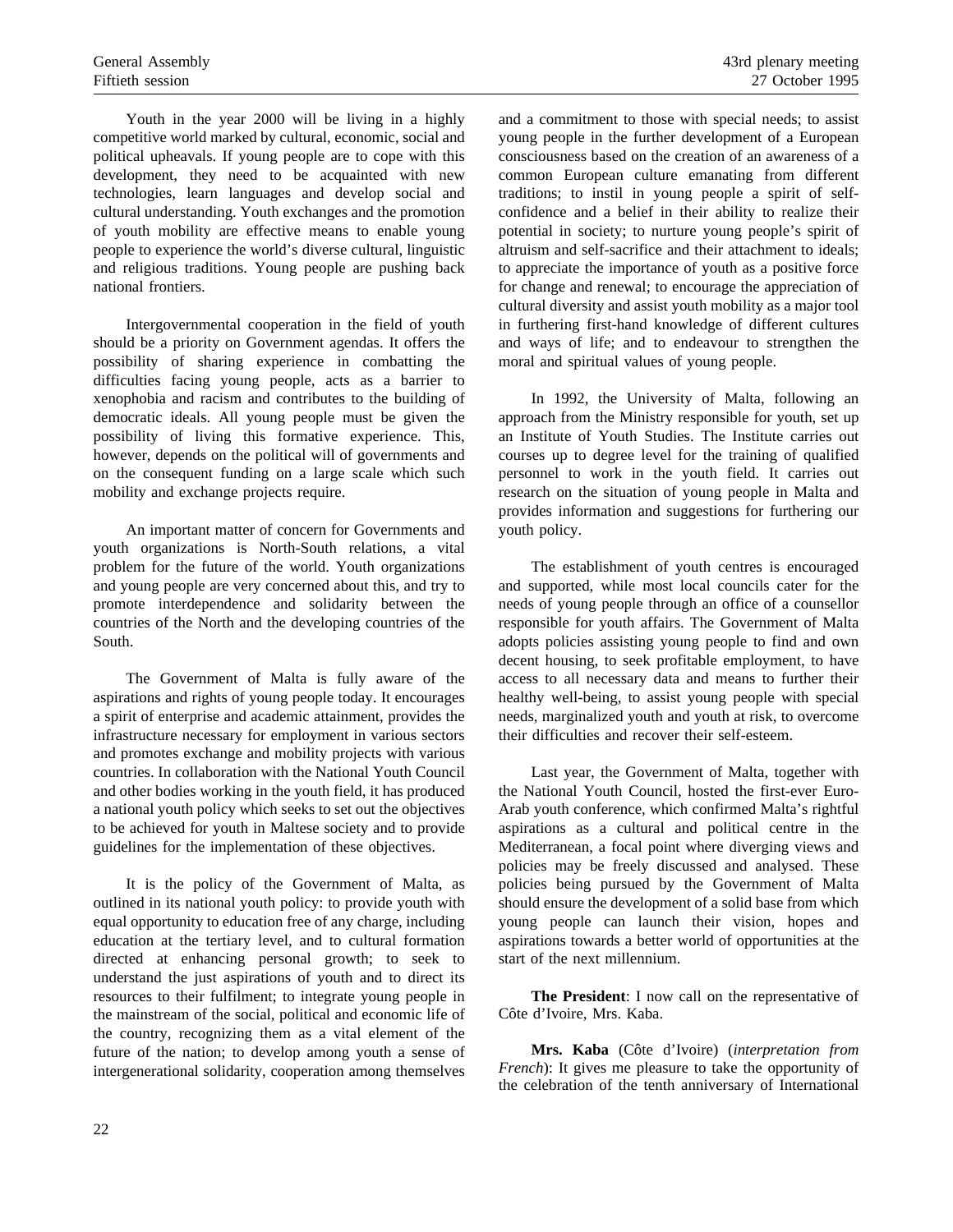Youth in the year 2000 will be living in a highly competitive world marked by cultural, economic, social and political upheavals. If young people are to cope with this development, they need to be acquainted with new technologies, learn languages and develop social and cultural understanding. Youth exchanges and the promotion of youth mobility are effective means to enable young people to experience the world's diverse cultural, linguistic and religious traditions. Young people are pushing back national frontiers.

Intergovernmental cooperation in the field of youth should be a priority on Government agendas. It offers the possibility of sharing experience in combatting the difficulties facing young people, acts as a barrier to xenophobia and racism and contributes to the building of democratic ideals. All young people must be given the possibility of living this formative experience. This, however, depends on the political will of governments and on the consequent funding on a large scale which such mobility and exchange projects require.

An important matter of concern for Governments and youth organizations is North-South relations, a vital problem for the future of the world. Youth organizations and young people are very concerned about this, and try to promote interdependence and solidarity between the countries of the North and the developing countries of the South.

The Government of Malta is fully aware of the aspirations and rights of young people today. It encourages a spirit of enterprise and academic attainment, provides the infrastructure necessary for employment in various sectors and promotes exchange and mobility projects with various countries. In collaboration with the National Youth Council and other bodies working in the youth field, it has produced a national youth policy which seeks to set out the objectives to be achieved for youth in Maltese society and to provide guidelines for the implementation of these objectives.

It is the policy of the Government of Malta, as outlined in its national youth policy: to provide youth with equal opportunity to education free of any charge, including education at the tertiary level, and to cultural formation directed at enhancing personal growth; to seek to understand the just aspirations of youth and to direct its resources to their fulfilment; to integrate young people in the mainstream of the social, political and economic life of the country, recognizing them as a vital element of the future of the nation; to develop among youth a sense of intergenerational solidarity, cooperation among themselves and a commitment to those with special needs; to assist young people in the further development of a European consciousness based on the creation of an awareness of a common European culture emanating from different traditions; to instil in young people a spirit of selfconfidence and a belief in their ability to realize their potential in society; to nurture young people's spirit of altruism and self-sacrifice and their attachment to ideals; to appreciate the importance of youth as a positive force for change and renewal; to encourage the appreciation of cultural diversity and assist youth mobility as a major tool in furthering first-hand knowledge of different cultures and ways of life; and to endeavour to strengthen the moral and spiritual values of young people.

In 1992, the University of Malta, following an approach from the Ministry responsible for youth, set up an Institute of Youth Studies. The Institute carries out courses up to degree level for the training of qualified personnel to work in the youth field. It carries out research on the situation of young people in Malta and provides information and suggestions for furthering our youth policy.

The establishment of youth centres is encouraged and supported, while most local councils cater for the needs of young people through an office of a counsellor responsible for youth affairs. The Government of Malta adopts policies assisting young people to find and own decent housing, to seek profitable employment, to have access to all necessary data and means to further their healthy well-being, to assist young people with special needs, marginalized youth and youth at risk, to overcome their difficulties and recover their self-esteem.

Last year, the Government of Malta, together with the National Youth Council, hosted the first-ever Euro-Arab youth conference, which confirmed Malta's rightful aspirations as a cultural and political centre in the Mediterranean, a focal point where diverging views and policies may be freely discussed and analysed. These policies being pursued by the Government of Malta should ensure the development of a solid base from which young people can launch their vision, hopes and aspirations towards a better world of opportunities at the start of the next millennium.

**The President**: I now call on the representative of Côte d'Ivoire, Mrs. Kaba.

**Mrs. Kaba** (Côte d'Ivoire) (*interpretation from French*): It gives me pleasure to take the opportunity of the celebration of the tenth anniversary of International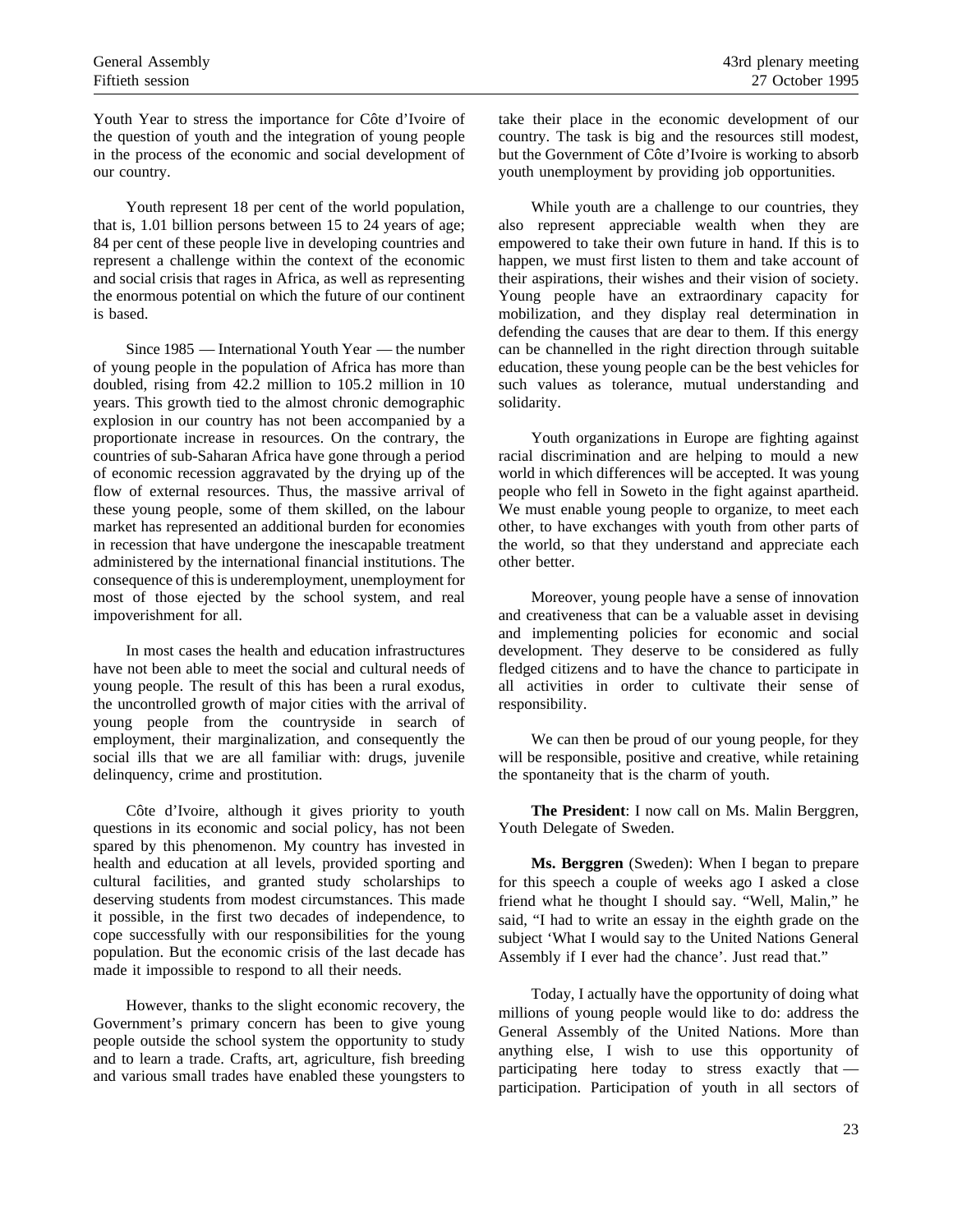Youth Year to stress the importance for Côte d'Ivoire of the question of youth and the integration of young people in the process of the economic and social development of our country.

Youth represent 18 per cent of the world population, that is, 1.01 billion persons between 15 to 24 years of age; 84 per cent of these people live in developing countries and represent a challenge within the context of the economic and social crisis that rages in Africa, as well as representing the enormous potential on which the future of our continent is based.

Since 1985 — International Youth Year — the number of young people in the population of Africa has more than doubled, rising from 42.2 million to 105.2 million in 10 years. This growth tied to the almost chronic demographic explosion in our country has not been accompanied by a proportionate increase in resources. On the contrary, the countries of sub-Saharan Africa have gone through a period of economic recession aggravated by the drying up of the flow of external resources. Thus, the massive arrival of these young people, some of them skilled, on the labour market has represented an additional burden for economies in recession that have undergone the inescapable treatment administered by the international financial institutions. The consequence of this is underemployment, unemployment for most of those ejected by the school system, and real impoverishment for all.

In most cases the health and education infrastructures have not been able to meet the social and cultural needs of young people. The result of this has been a rural exodus, the uncontrolled growth of major cities with the arrival of young people from the countryside in search of employment, their marginalization, and consequently the social ills that we are all familiar with: drugs, juvenile delinquency, crime and prostitution.

Côte d'Ivoire, although it gives priority to youth questions in its economic and social policy, has not been spared by this phenomenon. My country has invested in health and education at all levels, provided sporting and cultural facilities, and granted study scholarships to deserving students from modest circumstances. This made it possible, in the first two decades of independence, to cope successfully with our responsibilities for the young population. But the economic crisis of the last decade has made it impossible to respond to all their needs.

However, thanks to the slight economic recovery, the Government's primary concern has been to give young people outside the school system the opportunity to study and to learn a trade. Crafts, art, agriculture, fish breeding and various small trades have enabled these youngsters to take their place in the economic development of our country. The task is big and the resources still modest, but the Government of Côte d'Ivoire is working to absorb youth unemployment by providing job opportunities.

While youth are a challenge to our countries, they also represent appreciable wealth when they are empowered to take their own future in hand. If this is to happen, we must first listen to them and take account of their aspirations, their wishes and their vision of society. Young people have an extraordinary capacity for mobilization, and they display real determination in defending the causes that are dear to them. If this energy can be channelled in the right direction through suitable education, these young people can be the best vehicles for such values as tolerance, mutual understanding and solidarity.

Youth organizations in Europe are fighting against racial discrimination and are helping to mould a new world in which differences will be accepted. It was young people who fell in Soweto in the fight against apartheid. We must enable young people to organize, to meet each other, to have exchanges with youth from other parts of the world, so that they understand and appreciate each other better.

Moreover, young people have a sense of innovation and creativeness that can be a valuable asset in devising and implementing policies for economic and social development. They deserve to be considered as fully fledged citizens and to have the chance to participate in all activities in order to cultivate their sense of responsibility.

We can then be proud of our young people, for they will be responsible, positive and creative, while retaining the spontaneity that is the charm of youth.

**The President**: I now call on Ms. Malin Berggren, Youth Delegate of Sweden.

**Ms. Berggren** (Sweden): When I began to prepare for this speech a couple of weeks ago I asked a close friend what he thought I should say. "Well, Malin," he said, "I had to write an essay in the eighth grade on the subject 'What I would say to the United Nations General Assembly if I ever had the chance'. Just read that."

Today, I actually have the opportunity of doing what millions of young people would like to do: address the General Assembly of the United Nations. More than anything else, I wish to use this opportunity of participating here today to stress exactly that participation. Participation of youth in all sectors of